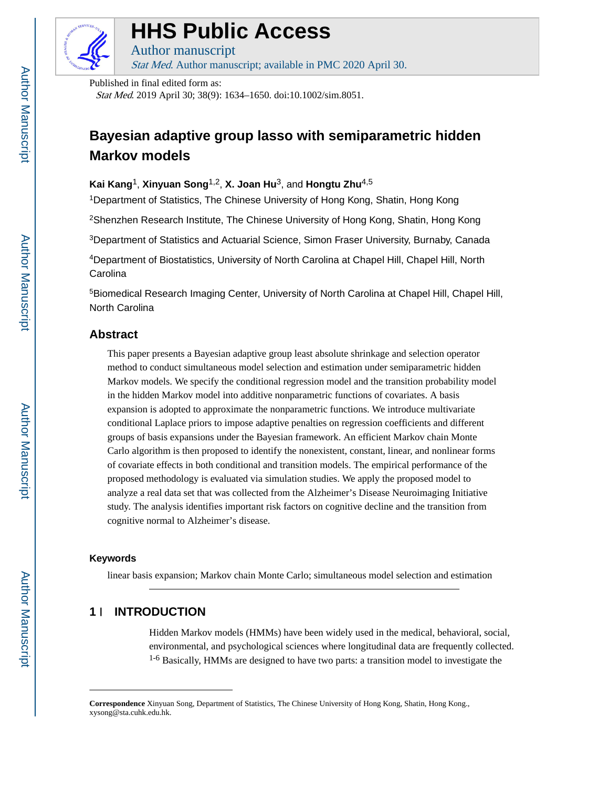

# **HHS Public Access**

Author manuscript Stat Med. Author manuscript; available in PMC 2020 April 30.

Published in final edited form as:

Stat Med. 2019 April 30; 38(9): 1634–1650. doi:10.1002/sim.8051.

# **Bayesian adaptive group lasso with semiparametric hidden Markov models**

## **Kai Kang**1, **Xinyuan Song**1,2, **X. Joan Hu**3, and **Hongtu Zhu**4,5

<sup>1</sup>Department of Statistics, The Chinese University of Hong Kong, Shatin, Hong Kong

<sup>2</sup>Shenzhen Research Institute, The Chinese University of Hong Kong, Shatin, Hong Kong

<sup>3</sup>Department of Statistics and Actuarial Science, Simon Fraser University, Burnaby, Canada

<sup>4</sup>Department of Biostatistics, University of North Carolina at Chapel Hill, Chapel Hill, North **Carolina** 

<sup>5</sup>Biomedical Research Imaging Center, University of North Carolina at Chapel Hill, Chapel Hill, North Carolina

## **Abstract**

This paper presents a Bayesian adaptive group least absolute shrinkage and selection operator method to conduct simultaneous model selection and estimation under semiparametric hidden Markov models. We specify the conditional regression model and the transition probability model in the hidden Markov model into additive nonparametric functions of covariates. A basis expansion is adopted to approximate the nonparametric functions. We introduce multivariate conditional Laplace priors to impose adaptive penalties on regression coefficients and different groups of basis expansions under the Bayesian framework. An efficient Markov chain Monte Carlo algorithm is then proposed to identify the nonexistent, constant, linear, and nonlinear forms of covariate effects in both conditional and transition models. The empirical performance of the proposed methodology is evaluated via simulation studies. We apply the proposed model to analyze a real data set that was collected from the Alzheimer's Disease Neuroimaging Initiative study. The analysis identifies important risk factors on cognitive decline and the transition from cognitive normal to Alzheimer's disease.

## **Keywords**

linear basis expansion; Markov chain Monte Carlo; simultaneous model selection and estimation

# **1** ∣ **INTRODUCTION**

Hidden Markov models (HMMs) have been widely used in the medical, behavioral, social, environmental, and psychological sciences where longitudinal data are frequently collected. <sup>1-6</sup> Basically, HMMs are designed to have two parts: a transition model to investigate the

**Correspondence** Xinyuan Song, Department of Statistics, The Chinese University of Hong Kong, Shatin, Hong Kong., xysong@sta.cuhk.edu.hk.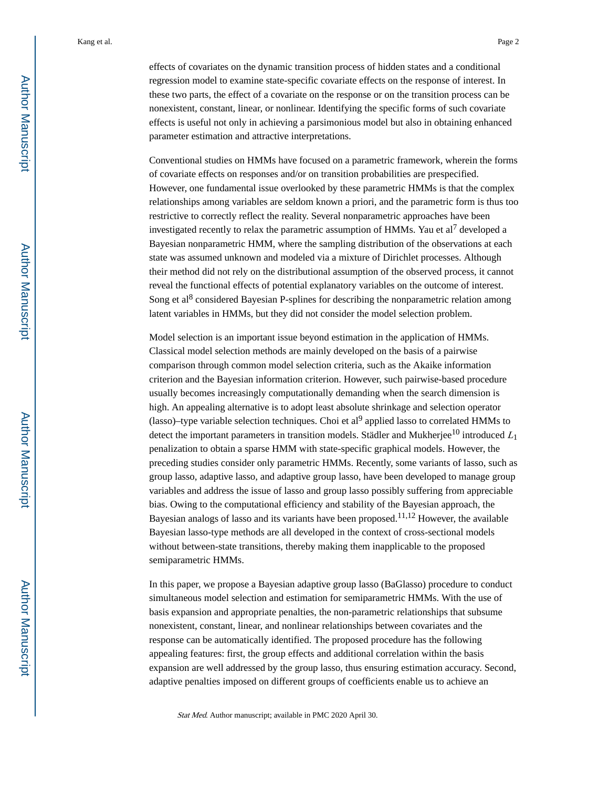effects of covariates on the dynamic transition process of hidden states and a conditional regression model to examine state-specific covariate effects on the response of interest. In these two parts, the effect of a covariate on the response or on the transition process can be nonexistent, constant, linear, or nonlinear. Identifying the specific forms of such covariate effects is useful not only in achieving a parsimonious model but also in obtaining enhanced parameter estimation and attractive interpretations.

Conventional studies on HMMs have focused on a parametric framework, wherein the forms of covariate effects on responses and/or on transition probabilities are prespecified. However, one fundamental issue overlooked by these parametric HMMs is that the complex relationships among variables are seldom known a priori, and the parametric form is thus too restrictive to correctly reflect the reality. Several nonparametric approaches have been investigated recently to relax the parametric assumption of HMMs. Yau et al<sup>7</sup> developed a Bayesian nonparametric HMM, where the sampling distribution of the observations at each state was assumed unknown and modeled via a mixture of Dirichlet processes. Although their method did not rely on the distributional assumption of the observed process, it cannot reveal the functional effects of potential explanatory variables on the outcome of interest. Song et al<sup>8</sup> considered Bayesian P-splines for describing the nonparametric relation among latent variables in HMMs, but they did not consider the model selection problem.

Model selection is an important issue beyond estimation in the application of HMMs. Classical model selection methods are mainly developed on the basis of a pairwise comparison through common model selection criteria, such as the Akaike information criterion and the Bayesian information criterion. However, such pairwise-based procedure usually becomes increasingly computationally demanding when the search dimension is high. An appealing alternative is to adopt least absolute shrinkage and selection operator (lasso)-type variable selection techniques. Choi et al<sup>9</sup> applied lasso to correlated HMMs to detect the important parameters in transition models. Städler and Mukherjee<sup>10</sup> introduced  $L_1$ penalization to obtain a sparse HMM with state-specific graphical models. However, the preceding studies consider only parametric HMMs. Recently, some variants of lasso, such as group lasso, adaptive lasso, and adaptive group lasso, have been developed to manage group variables and address the issue of lasso and group lasso possibly suffering from appreciable bias. Owing to the computational efficiency and stability of the Bayesian approach, the Bayesian analogs of lasso and its variants have been proposed.<sup>11,12</sup> However, the available Bayesian lasso-type methods are all developed in the context of cross-sectional models without between-state transitions, thereby making them inapplicable to the proposed semiparametric HMMs.

In this paper, we propose a Bayesian adaptive group lasso (BaGlasso) procedure to conduct simultaneous model selection and estimation for semiparametric HMMs. With the use of basis expansion and appropriate penalties, the non-parametric relationships that subsume nonexistent, constant, linear, and nonlinear relationships between covariates and the response can be automatically identified. The proposed procedure has the following appealing features: first, the group effects and additional correlation within the basis expansion are well addressed by the group lasso, thus ensuring estimation accuracy. Second, adaptive penalties imposed on different groups of coefficients enable us to achieve an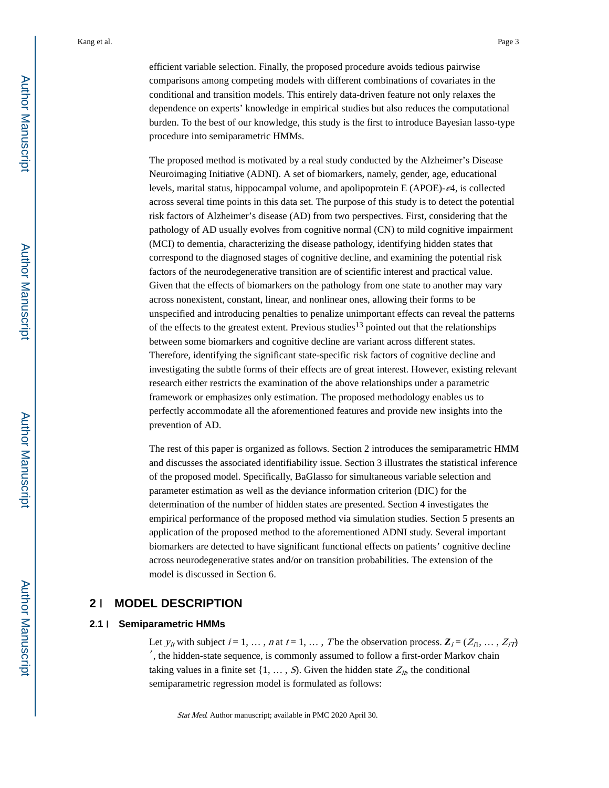efficient variable selection. Finally, the proposed procedure avoids tedious pairwise comparisons among competing models with different combinations of covariates in the conditional and transition models. This entirely data-driven feature not only relaxes the dependence on experts' knowledge in empirical studies but also reduces the computational burden. To the best of our knowledge, this study is the first to introduce Bayesian lasso-type procedure into semiparametric HMMs.

The proposed method is motivated by a real study conducted by the Alzheimer's Disease Neuroimaging Initiative (ADNI). A set of biomarkers, namely, gender, age, educational levels, marital status, hippocampal volume, and apolipoprotein E (APOE)- $\epsilon$ 4, is collected across several time points in this data set. The purpose of this study is to detect the potential risk factors of Alzheimer's disease (AD) from two perspectives. First, considering that the pathology of AD usually evolves from cognitive normal (CN) to mild cognitive impairment (MCI) to dementia, characterizing the disease pathology, identifying hidden states that correspond to the diagnosed stages of cognitive decline, and examining the potential risk factors of the neurodegenerative transition are of scientific interest and practical value. Given that the effects of biomarkers on the pathology from one state to another may vary across nonexistent, constant, linear, and nonlinear ones, allowing their forms to be unspecified and introducing penalties to penalize unimportant effects can reveal the patterns of the effects to the greatest extent. Previous studies<sup>13</sup> pointed out that the relationships between some biomarkers and cognitive decline are variant across different states. Therefore, identifying the significant state-specific risk factors of cognitive decline and investigating the subtle forms of their effects are of great interest. However, existing relevant research either restricts the examination of the above relationships under a parametric framework or emphasizes only estimation. The proposed methodology enables us to perfectly accommodate all the aforementioned features and provide new insights into the prevention of AD.

The rest of this paper is organized as follows. Section 2 introduces the semiparametric HMM and discusses the associated identifiability issue. Section 3 illustrates the statistical inference of the proposed model. Specifically, BaGlasso for simultaneous variable selection and parameter estimation as well as the deviance information criterion (DIC) for the determination of the number of hidden states are presented. Section 4 investigates the empirical performance of the proposed method via simulation studies. Section 5 presents an application of the proposed method to the aforementioned ADNI study. Several important biomarkers are detected to have significant functional effects on patients' cognitive decline across neurodegenerative states and/or on transition probabilities. The extension of the model is discussed in Section 6.

## **2** ∣ **MODEL DESCRIPTION**

#### **2.1** ∣ **Semiparametric HMMs**

Let  $y_{it}$  with subject  $i = 1, ..., n$  at  $t = 1, ..., T$  be the observation process.  $\mathbf{Z}_i = (Z_{i1}, ..., Z_{iT})$ ′, the hidden-state sequence, is commonly assumed to follow a first-order Markov chain taking values in a finite set  $\{1, \ldots, S\}$ . Given the hidden state  $Z_{ik}$  the conditional semiparametric regression model is formulated as follows: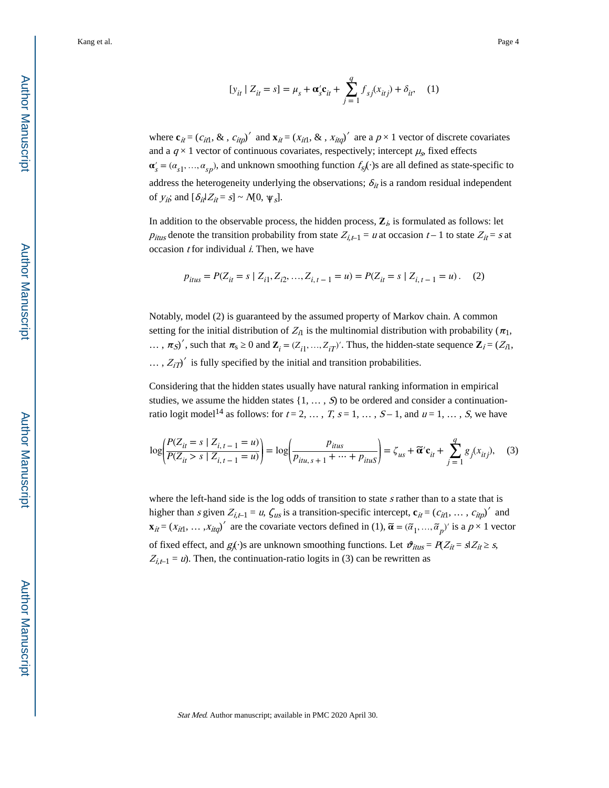$$
[y_{it} | Z_{it} = s] = \mu_s + \alpha'_s c_{it} + \sum_{j=1}^{q} f_{sj}(x_{itj}) + \delta_{it}, \quad (1)
$$

where  $\mathbf{c}_{it} = (c_{it1}, \& s_{itp})'$  and  $\mathbf{x}_{it} = (x_{it1}, \& s_{itq})'$  are a  $p \times 1$  vector of discrete covariates and a  $q \times 1$  vector of continuous covariates, respectively; intercept  $\mu_s$ , fixed effects  $\alpha'_s = (\alpha_{s1}, ..., \alpha_{sp})$ , and unknown smoothing function  $f_{sf}(\cdot)$ s are all defined as state-specific to address the heterogeneity underlying the observations;  $\delta_{it}$  is a random residual independent of  $y_{it}$ ; and  $[\delta_{it} | Z_{it} = s] \sim N[0, \psi_s].$ 

In addition to the observable process, the hidden process,  $\mathbf{Z}_i$  is formulated as follows: let  $p_{itus}$  denote the transition probability from state  $Z_{i,t-1} = u$  at occasion  $t-1$  to state  $Z_{it} = s$  at occasion  $t$  for individual  $\ddot{i}$ . Then, we have

$$
p_{itus} = P(Z_{it} = s \mid Z_{i1}, Z_{i2}, \dots, Z_{i, t-1} = u) = P(Z_{it} = s \mid Z_{i, t-1} = u). \tag{2}
$$

Notably, model (2) is guaranteed by the assumed property of Markov chain. A common setting for the initial distribution of  $Z_{i1}$  is the multinomial distribution with probability ( $\pi_1$ ,  $\ldots$ ,  $\pi_S$ )', such that  $\pi_s$  0 and  $\mathbf{Z}_i = (Z_{i1}, ..., Z_{iT})'$ . Thus, the hidden-state sequence  $\mathbf{Z}_i = (Z_{i1}, ..., Z_{iT})'$ .  $\ldots$ ,  $Z_{iT}$ <sup>'</sup> is fully specified by the initial and transition probabilities.

Considering that the hidden states usually have natural ranking information in empirical studies, we assume the hidden states  $\{1, \ldots, S\}$  to be ordered and consider a continuationratio logit model<sup>14</sup> as follows: for  $t = 2, \ldots, T, s = 1, \ldots, S-1$ , and  $u = 1, \ldots, S$ , we have

$$
\log \left( \frac{P(Z_{it} = s \mid Z_{i, t-1} = u)}{P(Z_{it} > s \mid Z_{i, t-1} = u)} \right) = \log \left( \frac{p_{itus}}{p_{itu, s+1} + \dots + p_{ituS}} \right) = \zeta_{us} + \widetilde{\alpha}' c_{it} + \sum_{j=1}^{q} g_j(x_{itj}), \quad (3)
$$

where the left-hand side is the log odds of transition to state s rather than to a state that is higher than s given  $Z_{i,t-1} = u$ ,  $\zeta_{us}$  is a transition-specific intercept,  $\mathbf{c}_{it} = (c_{it1}, \dots, c_{itp})'$  and  $\mathbf{x}_{it} = (x_{it1}, \dots, x_{itq})'$  are the covariate vectors defined in (1),  $\tilde{\alpha} = (\tilde{\alpha}_1, \dots, \tilde{\alpha}_p)'$  is a  $p \times 1$  vector of fixed effect, and  $g_j(\cdot)$  are unknown smoothing functions. Let  $\mathcal{V}_{itus} = RZ_{it} = sZ_{it}$  s,  $Z_{i,t-1} = u$ ). Then, the continuation-ratio logits in (3) can be rewritten as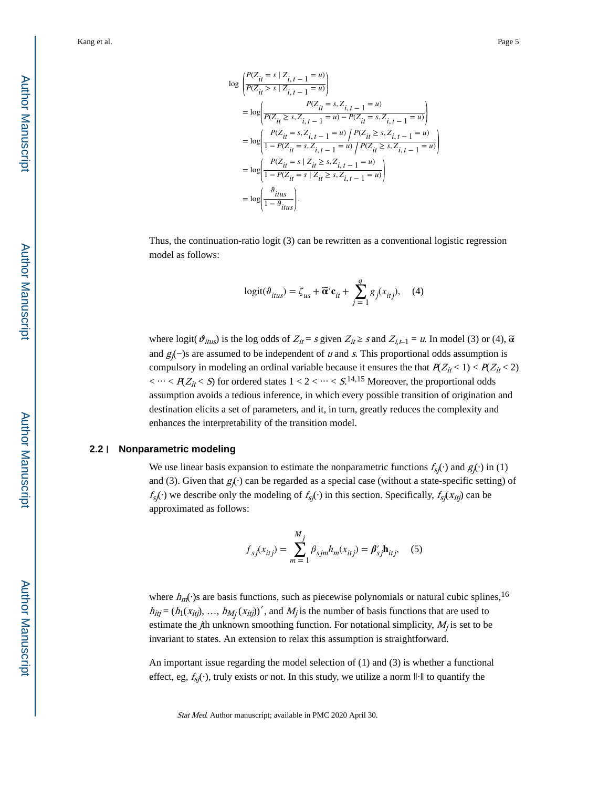$$
\log \left( \frac{P(Z_{it} = s | Z_{i, t-1} = u)}{P(Z_{it} > s | Z_{i, t-1} = u)} \right)
$$
\n
$$
= \log \left( \frac{P(Z_{it} = s, Z_{i, t-1} = u)}{P(Z_{it} \ge s, Z_{i, t-1} = u) - P(Z_{it} = s, Z_{i, t-1} = u)} \right)
$$
\n
$$
= \log \left( \frac{P(Z_{it} = s, Z_{i, t-1} = u) \left( P(Z_{it} \ge s, Z_{i, t-1} = u) \right)}{1 - P(Z_{it} = s, Z_{i, t-1} = u) \left( P(Z_{it} \ge s, Z_{i, t-1} = u) \right)}
$$
\n
$$
= \log \left( \frac{P(Z_{it} = s | Z_{it} \ge s, Z_{i, t-1} = u)}{1 - P(Z_{it} = s | Z_{it} \ge s, Z_{i, t-1} = u)} \right)
$$
\n
$$
= \log \left( \frac{\vartheta_{itus}}{1 - \vartheta_{itus}} \right).
$$

Thus, the continuation-ratio logit (3) can be rewritten as a conventional logistic regression model as follows:

$$
logit(\theta_{itus}) = \zeta_{us} + \widetilde{\alpha}' \mathbf{c}_{it} + \sum_{j=1}^{q} g_j(x_{itj}), \quad (4)
$$

where logit( $\vartheta_{itus}$ ) is the log odds of  $Z_{it} = s$  given  $Z_{it}$  s and  $Z_{i,t-1} = u$ . In model (3) or (4),  $\tilde{\alpha}$ and  $g_j(-)$ s are assumed to be independent of u and s. This proportional odds assumption is compulsory in modeling an ordinal variable because it ensures the that  $R(Z_{it} < 1) < R(Z_{it} < 2)$  $\langle \cdots \langle RZ_{it} \langle S \rangle \rangle$  for ordered states  $1 \langle 2 \langle \cdots \langle S \rangle^{14,15}$  Moreover, the proportional odds assumption avoids a tedious inference, in which every possible transition of origination and destination elicits a set of parameters, and it, in turn, greatly reduces the complexity and enhances the interpretability of the transition model.

#### **2.2** ∣ **Nonparametric modeling**

We use linear basis expansion to estimate the nonparametric functions  $f_{sf}(.)$  and  $g(.)$  in (1) and (3). Given that  $g_j(\cdot)$  can be regarded as a special case (without a state-specific setting) of  $f_{sf}(.)$  we describe only the modeling of  $f_{sf}(.)$  in this section. Specifically,  $f_{sf}(x_{itj})$  can be approximated as follows:

$$
f_{sj}(x_{itj}) = \sum_{m=1}^{M_j} \beta_{sjm} h_m(x_{itj}) = \beta'_{sj} \mathbf{h}_{itj}, \quad (5)
$$

where  $h_{m}(\cdot)$ s are basis functions, such as piecewise polynomials or natural cubic splines,<sup>16</sup>  $h_{itj} = (h_1(x_{itj}), ..., h_{M_j}(x_{itj}))'$ , and  $M_j$  is the number of basis functions that are used to estimate the  $j$ th unknown smoothing function. For notational simplicity,  $M_j$  is set to be invariant to states. An extension to relax this assumption is straightforward.

An important issue regarding the model selection of (1) and (3) is whether a functional effect, eg,  $f_{sf}(.)$ , truly exists or not. In this study, we utilize a norm  $\Vert \cdot \Vert$  to quantify the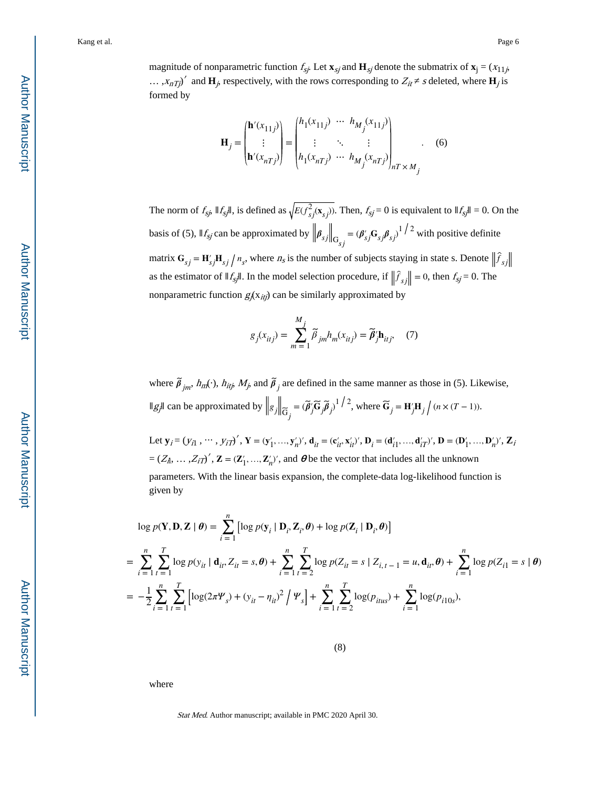magnitude of nonparametric function  $f_{sj}$ . Let  $\mathbf{x}_{sj}$  and  $\mathbf{H}_{sj}$  denote the submatrix of  $\mathbf{x}_j = (x_{11j},$  $\ldots$ ,  $x_{nTj}$ <sup> $\prime$ </sup> and  $\mathbf{H}_j$ , respectively, with the rows corresponding to  $Z_{it}$  s deleted, where  $\mathbf{H}_j$  is formed by

$$
\mathbf{H}_{j} = \begin{pmatrix} \mathbf{h}'(x_{11j}) \\ \vdots \\ \mathbf{h}'(x_{nTj}) \end{pmatrix} = \begin{pmatrix} h_{1}(x_{11j}) & \cdots & h_{M_{j}}(x_{11j}) \\ \vdots & \ddots & \vdots \\ h_{1}(x_{nTj}) & \cdots & h_{M_{j}}(x_{nTj}) \end{pmatrix}_{nT \times M_{j}}.
$$
 (6)

The norm of  $f_{sj}$ ,  $||f_{sj}||$ , is defined as  $\sqrt{E(f_{sj}^2(\mathbf{x}_{sj}))}$ . Then,  $f_{sj} = 0$  is equivalent to  $||f_{sj}|| = 0$ . On the basis of (5),  $\|f_{sj}$  can be approximated by  $\left\| \beta_{sj} \right\|_{G_{sj}} = (\beta'_{sj} G_{sj} \beta_{sj})^{1/2}$  with positive definite matrix  $G_{sj} = H'_{sj}H_{sj}/n_s$ , where  $n_s$  is the number of subjects staying in state s. Denote  $\left\|\hat{f}_{sj}\right\|$ as the estimator of  $|| f_{sj} ||$ . In the model selection procedure, if  $\left\| \hat{f}_{sj} \right\| = 0$ , then  $f_{sj} = 0$ . The nonparametric function  $g_j(x_{itj})$  can be similarly approximated by

$$
g_j(x_{itj}) = \sum_{m=1}^{M_j} \tilde{\beta}_{jm} h_m(x_{itj}) = \tilde{\beta}'_j \mathbf{h}_{itj}, \quad (7)
$$

where  $\hat{\beta}_{jm}$ ,  $h_{m}(\cdot)$ ,  $h_{itj}$ ,  $M_j$ , and  $\hat{\beta}_j$  are defined in the same manner as those in (5). Likewise, *g*<sub>*l*</sub> can be approximated by  $g_j \rvert_{\widetilde{G}_j} = (\widetilde{\beta}'_j \widetilde{G}_j \widetilde{\beta}_j)^{1/2}$ , where  $\widetilde{G}_j = H'_j H_j / (n \times (T - 1))$ .

Let  $y_i = (y_{i1}, \dots, y_{iT})'$ ,  $Y = (y'_1, \dots, y'_n)'$ ,  $d_{it} = (c'_{it}, x'_{it})'$ ,  $D_i = (d'_{i1}, \dots, d'_{iT})'$ ,  $D = (D'_1, \dots, D'_n)'$ ,  $Z_i$  $=(Z_1, \ldots, Z_{iT})'$ ,  $\mathbf{Z} = (\mathbf{Z}'_1, \ldots, \mathbf{Z}'_{n})'$ , and  $\boldsymbol{\theta}$  be the vector that includes all the unknown parameters. With the linear basis expansion, the complete-data log-likelihood function is given by

$$
\log p(\mathbf{Y}, \mathbf{D}, \mathbf{Z} | \boldsymbol{\theta}) = \sum_{i=1}^{n} [\log p(\mathbf{y}_i | \mathbf{D}_i, \mathbf{Z}_i, \boldsymbol{\theta}) + \log p(\mathbf{Z}_i | \mathbf{D}_i, \boldsymbol{\theta})]
$$
  
\n
$$
= \sum_{i=1}^{n} \sum_{t=1}^{T} \log p(\mathbf{y}_{it} | \mathbf{d}_{it}, \mathbf{Z}_{it} = s, \boldsymbol{\theta}) + \sum_{i=1}^{n} \sum_{t=2}^{T} \log p(\mathbf{Z}_{it} = s | \mathbf{Z}_{i, t-1} = u, \mathbf{d}_{it}, \boldsymbol{\theta}) + \sum_{i=1}^{n} \log p(\mathbf{Z}_{i1} = s | \boldsymbol{\theta})
$$
  
\n
$$
= -\frac{1}{2} \sum_{i=1}^{n} \sum_{t=1}^{T} \left[ \log(2\pi \boldsymbol{\Psi}_s) + (\mathbf{y}_{it} - \boldsymbol{\eta}_{it})^2 / \boldsymbol{\Psi}_s \right] + \sum_{i=1}^{n} \sum_{t=2}^{T} \log(p_{itus}) + \sum_{i=1}^{n} \log(p_{i10s}),
$$

(8)

where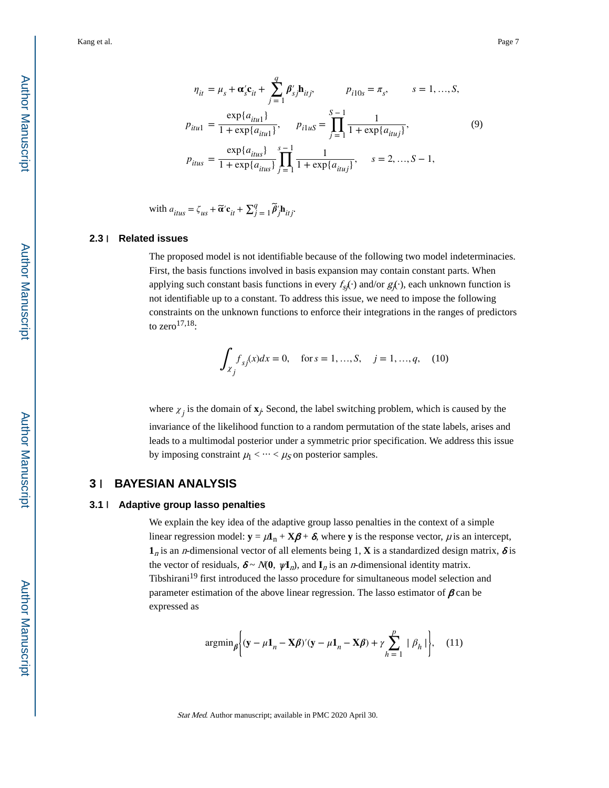Author ManuscriptAuthor Manuscript

$$
\eta_{it} = \mu_s + \alpha'_s \mathbf{c}_{it} + \sum_{j=1}^q \beta'_{sj} \mathbf{h}_{itj}, \qquad p_{i10s} = \pi_s, \qquad s = 1, ..., S,
$$
  

$$
p_{itu1} = \frac{\exp\{a_{itu1}\}}{1 + \exp\{a_{itu1}\}}, \qquad p_{i1uS} = \prod_{j=1}^{S-1} \frac{1}{1 + \exp\{a_{ituj}\}},
$$
  

$$
p_{itus} = \frac{\exp\{a_{itus}\}}{1 + \exp\{a_{itus}\}} \prod_{j=1}^{S-1} \frac{1}{1 + \exp\{a_{ituj}\}}, \qquad s = 2, ..., S-1,
$$
  
(9)

with  $a_{itus} = \zeta_{us} + \widetilde{\alpha}' \mathbf{c}_{it} + \sum_{j=1}^{q} \widetilde{\beta}'_j \mathbf{h}_{itj}$ .

#### **2.3** ∣ **Related issues**

The proposed model is not identifiable because of the following two model indeterminacies. First, the basis functions involved in basis expansion may contain constant parts. When applying such constant basis functions in every  $f_{sf}(\cdot)$  and/or  $g_{f}(\cdot)$ , each unknown function is not identifiable up to a constant. To address this issue, we need to impose the following constraints on the unknown functions to enforce their integrations in the ranges of predictors to zero $17,18$ :

$$
\int_{\chi_j} f_{sj}(x)dx = 0, \quad \text{for } s = 1, ..., S, \quad j = 1, ..., q, \quad (10)
$$

where  $\chi_j$  is the domain of  $\mathbf{x}_j$ . Second, the label switching problem, which is caused by the invariance of the likelihood function to a random permutation of the state labels, arises and leads to a multimodal posterior under a symmetric prior specification. We address this issue by imposing constraint  $\mu_1 < \cdots < \mu_S$  on posterior samples.

## **3** ∣ **BAYESIAN ANALYSIS**

#### **3.1** ∣ **Adaptive group lasso penalties**

We explain the key idea of the adaptive group lasso penalties in the context of a simple linear regression model:  $\mathbf{y} = \mu \mathbf{1}_n + \mathbf{X}\boldsymbol{\beta} + \boldsymbol{\delta}$ , where **y** is the response vector,  $\mu$  is an intercept,  $\mathbf{1}_n$  is an *n*-dimensional vector of all elements being 1, **X** is a standardized design matrix,  $\delta$  is the vector of residuals,  $\delta \sim N(0, \psi I_n)$ , and  $I_n$  is an *n*-dimensional identity matrix. Tibshirani19 first introduced the lasso procedure for simultaneous model selection and parameter estimation of the above linear regression. The lasso estimator of  $\beta$  can be expressed as

$$
\operatorname{argmin}_{\beta} \left\{ (\mathbf{y} - \mu \mathbf{1}_n - \mathbf{X} \beta)'(\mathbf{y} - \mu \mathbf{1}_n - \mathbf{X} \beta) + \gamma \sum_{h=1}^p | \beta_h | \right\}, \quad (11)
$$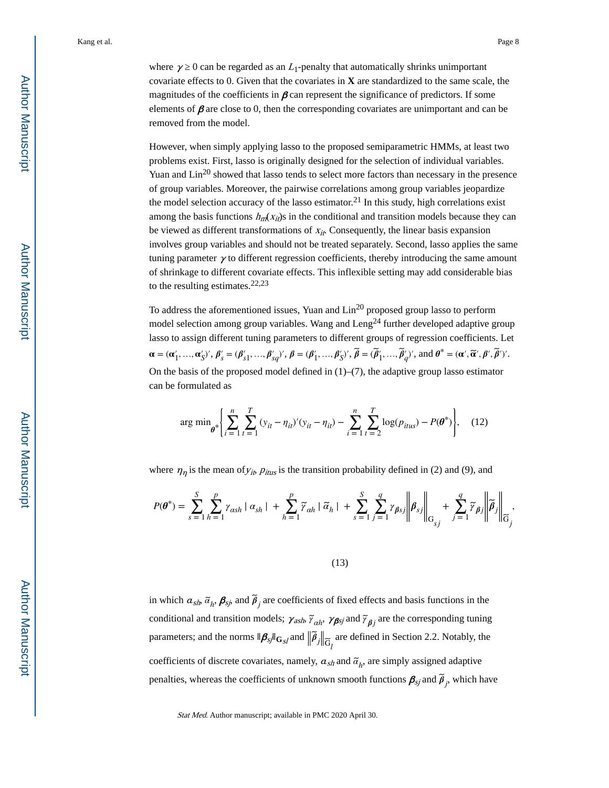where  $\gamma$  0 can be regarded as an  $L_1$ -penalty that automatically shrinks unimportant covariate effects to 0. Given that the covariates in **X** are standardized to the same scale, the magnitudes of the coefficients in  $\beta$  can represent the significance of predictors. If some elements of  $\beta$  are close to 0, then the corresponding covariates are unimportant and can be removed from the model.

However, when simply applying lasso to the proposed semiparametric HMMs, at least two problems exist. First, lasso is originally designed for the selection of individual variables. Yuan and  $\text{Lin}^{20}$  showed that lasso tends to select more factors than necessary in the presence of group variables. Moreover, the pairwise correlations among group variables jeopardize the model selection accuracy of the lasso estimator.<sup>21</sup> In this study, high correlations exist among the basis functions  $h_{m}(x_{ij})$ s in the conditional and transition models because they can be viewed as different transformations of  $x_{it}$ . Consequently, the linear basis expansion involves group variables and should not be treated separately. Second, lasso applies the same tuning parameter  $\gamma$  to different regression coefficients, thereby introducing the same amount of shrinkage to different covariate effects. This inflexible setting may add considerable bias to the resulting estimates.  $22,23$ 

To address the aforementioned issues, Yuan and  $\text{Lin}^{20}$  proposed group lasso to perform model selection among group variables. Wang and  $Leng<sup>24</sup>$  further developed adaptive group lasso to assign different tuning parameters to different groups of regression coefficients. Let  $\alpha = (\alpha'_1, ..., \alpha'_S)', \beta'_s = (\beta'_{s1}, ..., \beta'_{sq})', \beta = (\beta'_1, ..., \beta'_S)', \widetilde{\beta} = (\widetilde{\beta}'_1, ..., \widetilde{\beta}'_{q})', \text{ and } \theta^* = (\alpha', \widetilde{\alpha}', \beta', \widetilde{\beta}')'.$ On the basis of the proposed model defined in  $(1)$ – $(7)$ , the adaptive group lasso estimator can be formulated as

$$
\arg\min_{\theta^*} \left\{ \sum_{i=1}^n \sum_{t=1}^T (y_{it} - \eta_{it})'(y_{it} - \eta_{it}) - \sum_{i=1}^n \sum_{t=2}^T \log(p_{itus}) - P(\theta^*) \right\}, \quad (12)
$$

where  $\eta_{\eta}$  is the mean of  $y_{ih}$   $p_{itus}$  is the transition probability defined in (2) and (9), and

$$
P(\boldsymbol{\theta}^*) = \sum_{s=1}^S \sum_{h=1}^p \gamma_{ash} \mid \alpha_{sh} \mid + \sum_{h=1}^p \widetilde{\gamma}_{ah} \mid \widetilde{\alpha}_h \mid + \sum_{s=1}^S \sum_{j=1}^q \gamma_{\beta sj} \left\| \beta_{sj} \right\|_{G_{sj}} + \sum_{j=1}^q \widetilde{\gamma}_{\beta j} \left\| \widetilde{\beta}_j \right\|_{\widetilde{G}_j},
$$

(13)

in which  $a_{sh}$ ,  $\tilde{a}_h$ ,  $\beta_{sh}$  and  $\tilde{\beta}_j$  are coefficients of fixed effects and basis functions in the conditional and transition models;  $\gamma_{ash}$ ,  $\gamma_{ash}$ ,  $\gamma_{psj}$  and  $\tilde{\gamma}_{\beta j}$  are the corresponding tuning parameters; and the norms  $\|\boldsymbol{\beta}_{sj}\|_{G_{sJ}}$  and  $\|\tilde{\boldsymbol{\beta}}_j\|_{\widetilde{G}_l}$  are defined in Section 2.2. Notably, the coefficients of discrete covariates, namely,  $a_{sh}$  and  $\tilde{a}_h$ , are simply assigned adaptive penalties, whereas the coefficients of unknown smooth functions  $\beta_{sj}$  and  $\beta_j$ , which have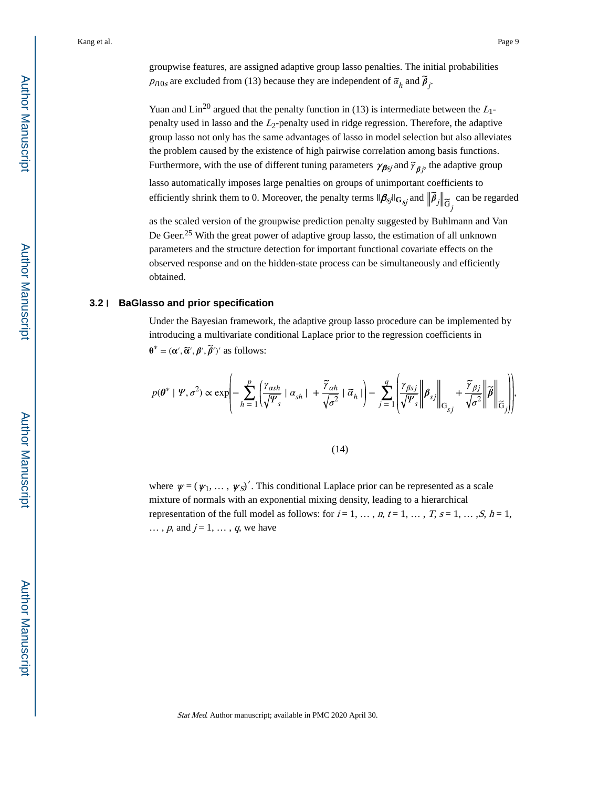groupwise features, are assigned adaptive group lasso penalties. The initial probabilities  $p_{i10s}$  are excluded from (13) because they are independent of  $\tilde{a}_h$  and  $\tilde{\beta}_j$ . *j*

Yuan and Lin<sup>20</sup> argued that the penalty function in (13) is intermediate between the  $L_1$ penalty used in lasso and the  $L_2$ -penalty used in ridge regression. Therefore, the adaptive group lasso not only has the same advantages of lasso in model selection but also alleviates the problem caused by the existence of high pairwise correlation among basis functions. Furthermore, with the use of different tuning parameters  $\gamma_{\beta j}$  and  $\tilde{\gamma}_{\beta j}$ , the adaptive group

lasso automatically imposes large penalties on groups of unimportant coefficients to efficiently shrink them to 0. Moreover, the penalty terms  $\|\boldsymbol{\beta}_{sj}\|_{\mathbf{G}_{sj}}$  and  $\|\tilde{\boldsymbol{\beta}}_j\|_{\widetilde{\mathbf{G}}_j}$  can be regarded

as the scaled version of the groupwise prediction penalty suggested by Buhlmann and Van De Geer.<sup>25</sup> With the great power of adaptive group lasso, the estimation of all unknown parameters and the structure detection for important functional covariate effects on the observed response and on the hidden-state process can be simultaneously and efficiently obtained.

#### **3.2** ∣ **BaGlasso and prior specification**

Under the Bayesian framework, the adaptive group lasso procedure can be implemented by introducing a multivariate conditional Laplace prior to the regression coefficients in  $\mathbf{\theta}^* = (\alpha', \widetilde{\alpha}', \beta', \widetilde{\beta}')'$  as follows:

$$
p(\boldsymbol{\theta}^* \mid \boldsymbol{\varPsi}, \sigma^2) \propto \exp\left(-\sum_{h=1}^P \left(\frac{\gamma_{\alpha sh}}{\sqrt{\boldsymbol{\varPsi}_s}} \mid \alpha_{sh} \mid +\frac{\widetilde{\gamma}_{\alpha h}}{\sqrt{\sigma^2}} \mid \widetilde{\alpha}_h \mid\right) - \sum_{j=1}^q \left(\frac{\gamma_{\beta sj}}{\sqrt{\boldsymbol{\varPsi}_s}} \left\| \boldsymbol{\beta}_{sj} \right\|_{G_{sj}} + \frac{\widetilde{\gamma}_{\beta j}}{\sqrt{\sigma^2}} \left\| \widetilde{\boldsymbol{\beta}} \right\|_{\widetilde{G}_j}\right)\right),
$$

(14)

where  $\psi = (\psi_1, \dots, \psi_s)'$ . This conditional Laplace prior can be represented as a scale mixture of normals with an exponential mixing density, leading to a hierarchical representation of the full model as follows: for  $i = 1, \ldots, n$ ,  $t = 1, \ldots, T$ ,  $s = 1, \ldots, S$ ,  $h = 1$ ,  $\ldots$ , p, and  $j = 1, \ldots, q$ , we have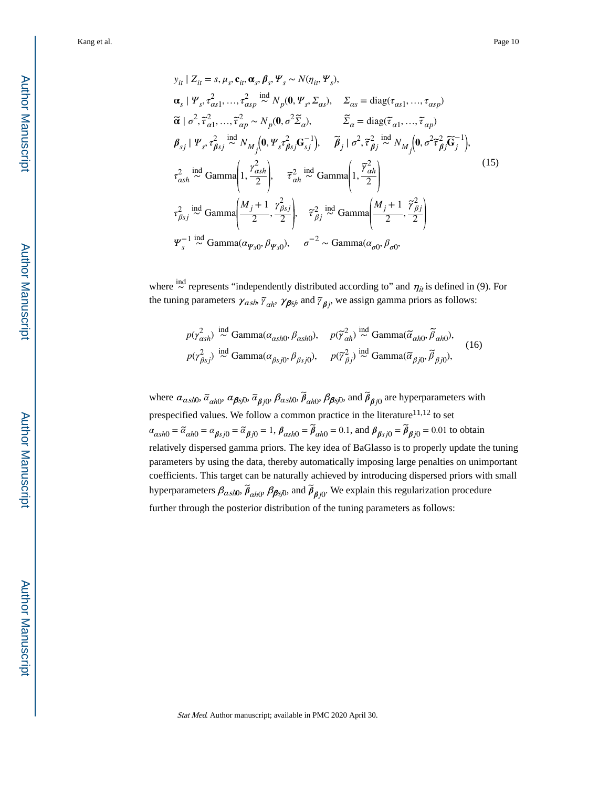$$
y_{it} | Z_{it} = s, \mu_s, \mathbf{c}_{it}, \mathbf{\alpha}_s, \beta_s, \Psi_s \sim N(\eta_{it}, \Psi_s),
$$
  
\n
$$
\mathbf{\alpha}_s | \Psi_s, \tau_{\alpha s1}^2, \dots, \tau_{\alpha s p}^2 \stackrel{\text{ind}}{\sim} N_p(\mathbf{0}, \Psi_s, \Sigma_{\alpha s}), \quad \Sigma_{\alpha s} = \text{diag}(\tau_{\alpha s1}, \dots, \tau_{\alpha s p})
$$
  
\n
$$
\widetilde{\mathbf{\alpha}} | \sigma^2, \widetilde{\tau}_{\alpha 1}^2, \dots, \widetilde{\tau}_{\alpha p}^2 \sim N_p(\mathbf{0}, \sigma^2 \Sigma_{\alpha}), \qquad \widetilde{\Sigma}_{\alpha} = \text{diag}(\widetilde{\tau}_{\alpha 1}, \dots, \widetilde{\tau}_{\alpha p})
$$
  
\n
$$
\beta_{sj} | \Psi_s, \tau_{\beta sj}^2 \stackrel{\text{ind}}{\sim} N_{M_j}(\mathbf{0}, \Psi_s \tau_{\beta s j}^2 \mathbf{G}_s^{-1}), \qquad \widetilde{\beta}_j | \sigma^2, \widetilde{\tau}_{\beta j}^2 \stackrel{\text{ind}}{\sim} N_{M_j}(\mathbf{0}, \sigma^2 \widetilde{\tau}_{\beta j}^2 \widetilde{\mathbf{G}}_j^{-1}),
$$
  
\n
$$
\tau_{\alpha s h}^2 \sim \text{Gamma}\left(1, \frac{\gamma_{\alpha s h}^2}{2}\right), \qquad \widetilde{\tau}_{\alpha h}^2 \sim \text{Gamma}\left(1, \frac{\widetilde{\tau}_{\alpha h}^2}{2}\right)
$$
  
\n
$$
\tau_{\beta s j}^2 \sim \text{Gamma}\left(\frac{M_j + 1}{2}, \frac{\gamma_{\beta s j}^2}{2}\right), \qquad \widetilde{\tau}_{\beta j}^2 \sim \text{Gamma}\left(\frac{M_j + 1}{2}, \frac{\widetilde{\tau}_{\beta j}^2}{2}\right)
$$
  
\n
$$
\Psi_s^{-1} \stackrel{\text{ind}}{\sim} \text{Gamma}(\alpha_{\psi, s0}, \beta_{\psi, s0}), \qquad \sigma^{-2} \sim \text{Gamma}(\alpha_{\sigma 0}, \beta_{\sigma 0}, \beta_{\sigma 0})
$$

where  $\frac{ind}{\infty}$  represents "independently distributed according to" and  $\eta_{it}$  is defined in (9). For the tuning parameters  $\gamma_{ash}$ ,  $\tilde{\gamma}_{ah}$ ,  $\gamma_{\beta s}$ , and  $\tilde{\gamma}_{\beta j}$ , we assign gamma priors as follows:

$$
p(\gamma_{\alpha sh}^2) \stackrel{\text{ind}}{\sim} \text{Gamma}(\alpha_{\alpha sh0}, \beta_{\alpha sh0}), \quad p(\widetilde{\gamma}_{\alpha h}^2) \stackrel{\text{ind}}{\sim} \text{Gamma}(\widetilde{\alpha}_{\alpha ho}, \widetilde{\beta}_{\alpha ho}),
$$
  

$$
p(\gamma_{\beta sj}^2) \stackrel{\text{ind}}{\sim} \text{Gamma}(\alpha_{\beta sj0}, \beta_{\beta sj0}), \quad p(\widetilde{\gamma}_{\beta j}^2) \stackrel{\text{ind}}{\sim} \text{Gamma}(\widetilde{\alpha}_{\beta j0}, \widetilde{\beta}_{\beta j0}),
$$
 (16)

where  $a_{ash0}$ ,  $\tilde{a}_{ah0}$ ,  $a_{\beta s0}$ ,  $\tilde{a}_{\beta j0}$ ,  $\beta_{ash0}$ ,  $\beta_{ah0}$ ,  $\beta_{\beta s0}$ , and  $\beta_{\beta j0}$  are hyperparameters with prespecified values. We follow a common practice in the literature $11,12$  to set  $\alpha_{\alpha sh0} = \tilde{\alpha}_{\alpha h0} = \alpha_{\beta s j0} = \tilde{\alpha}_{\beta j0} = 1$ ,  $\beta_{\alpha sh0} = \tilde{\beta}_{\alpha h0} = 0.1$ , and  $\beta_{\beta s j0} = \tilde{\beta}_{\beta j0} = 0.01$  to obtain relatively dispersed gamma priors. The key idea of BaGlasso is to properly update the tuning parameters by using the data, thereby automatically imposing large penalties on unimportant coefficients. This target can be naturally achieved by introducing dispersed priors with small hyperparameters  $\beta_{ash0}$ ,  $\beta_{gh0}$ ,  $\beta_{\beta}$ , and  $\beta_{\beta}$ , We explain this regularization procedure further through the posterior distribution of the tuning parameters as follows: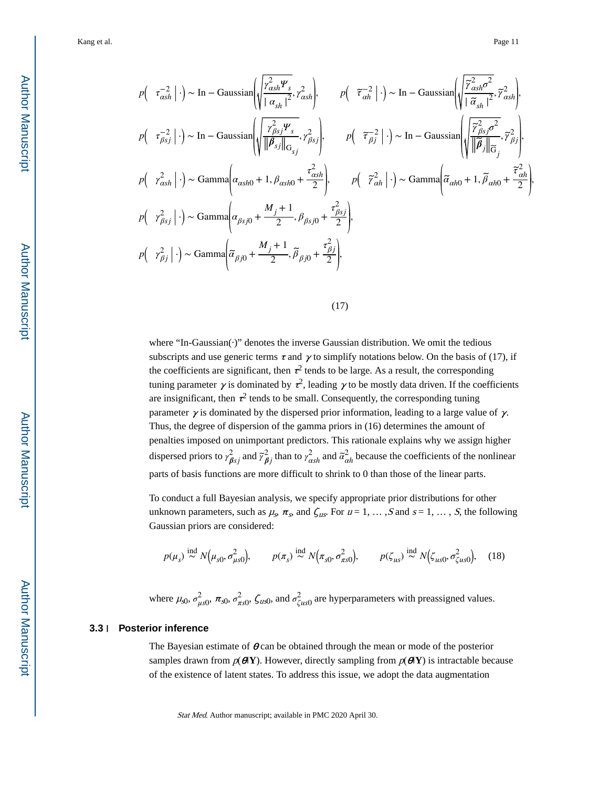$$
p\left(\tau_{ash}^{-2}|\cdot\right) \sim \text{In} - \text{Gaussian}\left(\sqrt{\frac{\gamma_{ash}^{2}Y_{s}}{|\alpha_{sh}|^{2}}, \gamma_{ash}^{2}}\right), \qquad p\left(\tilde{\tau}_{ash}^{-2}|\cdot\right) \sim \text{In} - \text{Gaussian}\left(\sqrt{\frac{\gamma_{ash}^{2}\sigma^{2}}{|\alpha_{sh}|^{2}}, \gamma_{ash}^{2}}\right),
$$
\n
$$
p\left(\tau_{ph}^{-2}|\cdot\right) \sim \text{In} - \text{Gaussian}\left(\sqrt{\frac{\gamma_{psj}^{2}Y_{s}}{|\beta_{sj}||_{G_{sj}}}}, \gamma_{psj}^{2}\right), \qquad p\left(\tilde{\tau}_{ph}^{-2}|\cdot\right) \sim \text{In} - \text{Gaussian}\left(\sqrt{\frac{\gamma_{psj}^{2}\sigma^{2}}{|\beta_{jl}||_{G_{j}}}}, \gamma_{psj}^{2}\right),
$$
\n
$$
p\left(\tau_{ph}^{-2}|\cdot\right) \sim \text{Gamma}\left(\alpha_{ash0} + 1, \beta_{ash0} + \frac{\tau_{ash}^{2}}{2}\right), \qquad p\left(\tilde{\tau}_{ph}^{-2}|\cdot\right) \sim \text{Gamma}\left(\tilde{\alpha}_{ash0} + 1, \tilde{\beta}_{sh0} + \frac{\tilde{\tau}_{ash}^{2}}{2}\right),
$$
\n
$$
p\left(\gamma_{psj}^{2}|\cdot\right) \sim \text{Gamma}\left(\alpha_{psj0} + \frac{M_{j} + 1}{2}, \beta_{psj0} + \frac{\tau_{psj}^{2}}{2}\right),
$$
\n
$$
p\left(\gamma_{psj}^{2}|\cdot\right) \sim \text{Gamma}\left(\alpha_{psj0} + \frac{M_{j} + 1}{2}, \beta_{psj0} + \frac{\tau_{psj}^{2}}{2}\right),
$$
\n
$$
p\left(\gamma_{psj}^{2}|\cdot\right) \sim \text{Gamma}\left(\tilde{\alpha}_{psj0} + \frac{M_{j} + 1}{2}, \tilde{\beta}_{psj0} + \frac{\tau_{psj}^{2}}{2}\right),
$$

(17)

where "In-Gaussian $(\cdot)$ " denotes the inverse Gaussian distribution. We omit the tedious subscripts and use generic terms  $\tau$  and  $\gamma$  to simplify notations below. On the basis of (17), if the coefficients are significant, then  $\tau^2$  tends to be large. As a result, the corresponding tuning parameter  $\gamma$  is dominated by  $\tau^2$ , leading  $\gamma$  to be mostly data driven. If the coefficients are insignificant, then  $\tau^2$  tends to be small. Consequently, the corresponding tuning parameter  $\gamma$  is dominated by the dispersed prior information, leading to a large value of  $\gamma$ . Thus, the degree of dispersion of the gamma priors in (16) determines the amount of penalties imposed on unimportant predictors. This rationale explains why we assign higher dispersed priors to  $\gamma_{\beta j}^2$  and  $\tilde{\gamma}_{\beta j}^2$  than to  $\gamma_{\alpha sh}^2$  and  $\tilde{\alpha}_{\alpha h}^2$  because the coefficients of the nonlinear parts of basis functions are more difficult to shrink to 0 than those of the linear parts.

To conduct a full Bayesian analysis, we specify appropriate prior distributions for other unknown parameters, such as  $\mu_s$ ,  $\pi_s$ , and  $\zeta_{us}$ . For  $u = 1, \dots, S$  and  $s = 1, \dots, S$ , the following Gaussian priors are considered:

$$
p(\mu_s) \stackrel{\text{ind}}{\sim} N(\mu_{s0}, \sigma_{\mu s0}^2), \qquad p(\pi_s) \stackrel{\text{ind}}{\sim} N(\pi_{s0}, \sigma_{\pi s0}^2), \qquad p(\zeta_{us}) \stackrel{\text{ind}}{\sim} N(\zeta_{us0}, \sigma_{\zeta_{us0}}^2), \tag{18}
$$

where  $\mu_{s0}$ ,  $\sigma_{\mu s0}^2$ ,  $\pi_{s0}$ ,  $\sigma_{\pi s0}^2$ ,  $\zeta_{\mu s0}$ , and  $\sigma_{\zeta\mu s0}^2$  are hyperparameters with preassigned values.

#### **3.3** ∣ **Posterior inference**

The Bayesian estimate of  $\theta$  can be obtained through the mean or mode of the posterior samples drawn from  $p(\theta Y)$ . However, directly sampling from  $p(\theta Y)$  is intractable because of the existence of latent states. To address this issue, we adopt the data augmentation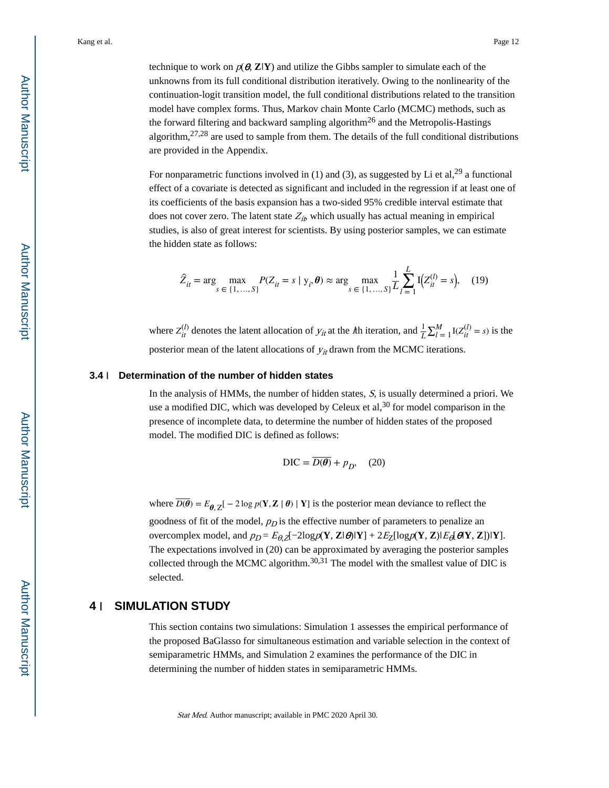technique to work on  $p(\theta, Z|Y)$  and utilize the Gibbs sampler to simulate each of the unknowns from its full conditional distribution iteratively. Owing to the nonlinearity of the continuation-logit transition model, the full conditional distributions related to the transition model have complex forms. Thus, Markov chain Monte Carlo (MCMC) methods, such as the forward filtering and backward sampling algorithm<sup>26</sup> and the Metropolis-Hastings algorithm, $27,28$  are used to sample from them. The details of the full conditional distributions are provided in the Appendix.

For nonparametric functions involved in (1) and (3), as suggested by Li et al,  $^{29}$  a functional effect of a covariate is detected as significant and included in the regression if at least one of its coefficients of the basis expansion has a two-sided 95% credible interval estimate that does not cover zero. The latent state  $Z_{it}$ , which usually has actual meaning in empirical studies, is also of great interest for scientists. By using posterior samples, we can estimate the hidden state as follows:

$$
\hat{Z}_{it} = \arg \max_{s \in \{1, ..., S\}} P(Z_{it} = s \mid y_i, \theta) \approx \arg \max_{s \in \{1, ..., S\}} \frac{1}{L} \sum_{l=1}^{L} I(Z_{it}^{(l)} = s), \quad (19)
$$

where  $Z_{it}^{(l)}$  denotes the latent allocation of  $y_{it}$  at the *l*th iteration, and  $\frac{1}{L} \sum_{l=1}^{M} I(Z_{it}^{(l)} = s)$  is the posterior mean of the latent allocations of  $y_{it}$  drawn from the MCMC iterations.

#### **3.4** ∣ **Determination of the number of hidden states**

In the analysis of HMMs, the number of hidden states, S, is usually determined a priori. We use a modified DIC, which was developed by Celeux et al,  $30$  for model comparison in the presence of incomplete data, to determine the number of hidden states of the proposed model. The modified DIC is defined as follows:

$$
DIC = \overline{D(\theta)} + p_D, \quad (20)
$$

where  $\overline{D(\theta)} = E_{\theta Z}[-2 \log p(Y, Z | \theta) | Y]$  is the posterior mean deviance to reflect the

goodness of fit of the model,  $p<sub>D</sub>$  is the effective number of parameters to penalize an overcomplex model, and  $p_D = E_{\theta,Z}[-2\log p(\mathbf{Y}, \mathbf{Z}|\boldsymbol{\theta})|\mathbf{Y}] + 2E_Z[\log p(\mathbf{Y}, \mathbf{Z})|E_{\theta}[\boldsymbol{\theta}\mathbf{Y}, \mathbf{Z}])|\mathbf{Y}]$ . The expectations involved in (20) can be approximated by averaging the posterior samples collected through the MCMC algorithm.<sup>30,31</sup> The model with the smallest value of DIC is selected.

## **4** ∣ **SIMULATION STUDY**

This section contains two simulations: Simulation 1 assesses the empirical performance of the proposed BaGlasso for simultaneous estimation and variable selection in the context of semiparametric HMMs, and Simulation 2 examines the performance of the DIC in determining the number of hidden states in semiparametric HMMs.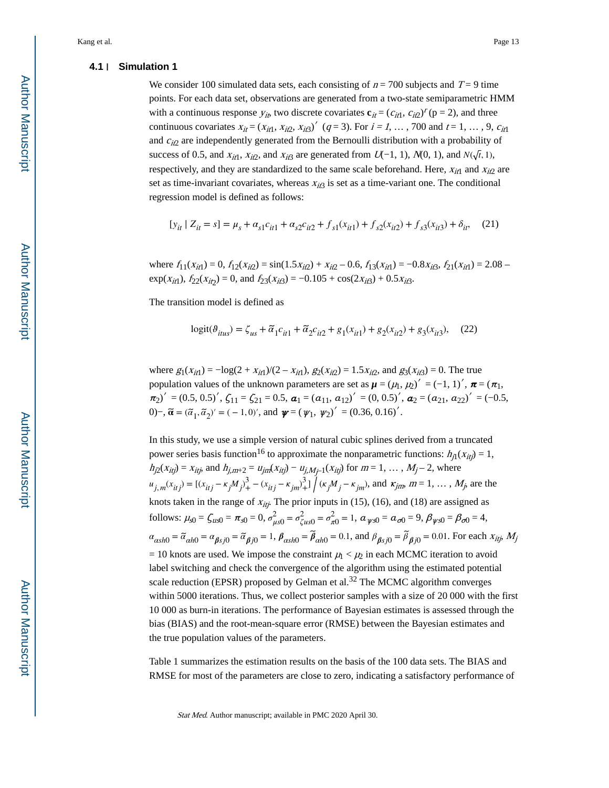#### **4.1** ∣ **Simulation 1**

We consider 100 simulated data sets, each consisting of  $n = 700$  subjects and  $T = 9$  time points. For each data set, observations are generated from a two-state semiparametric HMM with a continuous response  $y_{it}$  two discrete covariates  $\mathbf{c}_{it} = (c_{it1}, c_{it2})^T (p = 2)$ , and three continuous covariates  $x_{it} = (x_{it1}, x_{it2}, x_{it3})'$  ( $q = 3$ ). For  $i = 1, ..., 700$  and  $t = 1, ..., 9, c_{it1}$ and  $c_{i/2}$  are independently generated from the Bernoulli distribution with a probability of points. For each data set, observations are generated from a two-state semiparametric Hr<br>with a continuous response  $y_{it}$  two discrete covariates  $\mathbf{c}_{it} = (c_{it1}, c_{it2})^r$  ( $p = 2$ ), and three<br>continuous covariates  $x_{it} = ($ respectively, and they are standardized to the same scale beforehand. Here,  $x_{it1}$  and  $x_{it2}$  are set as time-invariant covariates, whereas  $x_{i\beta}$  is set as a time-variant one. The conditional regression model is defined as follows:

$$
[y_{it} | Z_{it} = s] = \mu_s + \alpha_{s1}c_{it1} + \alpha_{s2}c_{it2} + f_{s1}(x_{it1}) + f_{s2}(x_{it2}) + f_{s3}(x_{it3}) + \delta_{it}, \quad (21)
$$

where  $f_{11}(x_{it1}) = 0$ ,  $f_{12}(x_{it2}) = \sin(1.5x_{it2}) + x_{it2} - 0.6$ ,  $f_{13}(x_{it1}) = -0.8x_{it3}$ ,  $f_{21}(x_{it1}) = 2.08 - 0.6$  $\exp(x_{it1}), f_{22}(x_{it2}) = 0$ , and  $f_{23}(x_{it3}) = -0.105 + \cos(2x_{it3}) + 0.5x_{it3}$ .

The transition model is defined as

$$
logit(\vartheta_{itus}) = \zeta_{us} + \widetilde{\alpha}_1 c_{it1} + \widetilde{\alpha}_2 c_{it2} + g_1(x_{it1}) + g_2(x_{it2}) + g_3(x_{it3}), \quad (22)
$$

where  $g_1(x_{it1}) = -\log(2 + x_{it1})/(2 - x_{it1}), g_2(x_{it2}) = 1.5x_{it2}$ , and  $g_3(x_{it3}) = 0$ . The true population values of the unknown parameters are set as  $\mu = (\mu_1, \mu_2)' = (-1, 1)'$ ,  $\pi = (\pi_1, \pi_2)'$  $\pi_2$ )' = (0.5, 0.5)',  $\zeta_{11} = \zeta_{21} = 0.5$ ,  $\boldsymbol{a}_1 = (\alpha_{11}, \alpha_{12})' = (0, 0.5)'$ ,  $\boldsymbol{a}_2 = (\alpha_{21}, \alpha_{22})' = (-0.5,$ 0)−,  $\tilde{\alpha} = (\tilde{\alpha}_1, \tilde{\alpha}_2)' = (-1, 0)'$ , and  $\psi = (\psi_1, \psi_2)' = (0.36, 0.16)'$ .

In this study, we use a simple version of natural cubic splines derived from a truncated power series basis function<sup>16</sup> to approximate the nonparametric functions:  $h_{j1}(x_{itj}) = 1$ ,  $h_{j2}(x_{itj}) = x_{itj}$ , and  $h_{j,m+2} = u_{j,m}(x_{itj}) - u_{j,M_{j-1}}(x_{itj})$  for  $m = 1, ..., M_j - 2$ , where  $u_{j,m}(x_{itj}) = [(x_{itj} - \kappa_j M_j)^3 + (x_{itj} - \kappa_{jm})^3] / (\kappa_j M_j - \kappa_{jm})$ , and  $\kappa_{j,m}$ ,  $m = 1, ..., M_j$ , are the knots taken in the range of  $x_{itj}$ . The prior inputs in (15), (16), and (18) are assigned as follows:  $\mu_{s0} = \zeta_{us0} = \pi_{s0} = 0$ ,  $\sigma_{\mu s0}^2 = \sigma_{\zeta_{us0}}^2 = \sigma_{\pi 0}^2 = 1$ ,  $\alpha_{\psi s0} = \alpha_{\sigma 0} = 9$ ,  $\beta_{\psi s0} = \beta_{\sigma 0} = 4$ ,  $\alpha_{\alpha sh0} = \tilde{\alpha}_{\alpha h0} = \alpha_{\beta s j0} = \tilde{\alpha}_{\beta j0} = 1$ ,  $\beta_{\alpha sh0} = \beta_{\alpha h0} = 0.1$ , and  $\beta_{\beta s j0} = \beta_{\beta j0} = 0.01$ . For each  $x_{itj}$ ,  $M_j$ = 10 knots are used. We impose the constraint  $\mu_1 < \mu_2$  in each MCMC iteration to avoid label switching and check the convergence of the algorithm using the estimated potential scale reduction (EPSR) proposed by Gelman et al.<sup>32</sup> The MCMC algorithm converges within 5000 iterations. Thus, we collect posterior samples with a size of 20 000 with the first 10 000 as burn-in iterations. The performance of Bayesian estimates is assessed through the bias (BIAS) and the root-mean-square error (RMSE) between the Bayesian estimates and the true population values of the parameters.

Table 1 summarizes the estimation results on the basis of the 100 data sets. The BIAS and RMSE for most of the parameters are close to zero, indicating a satisfactory performance of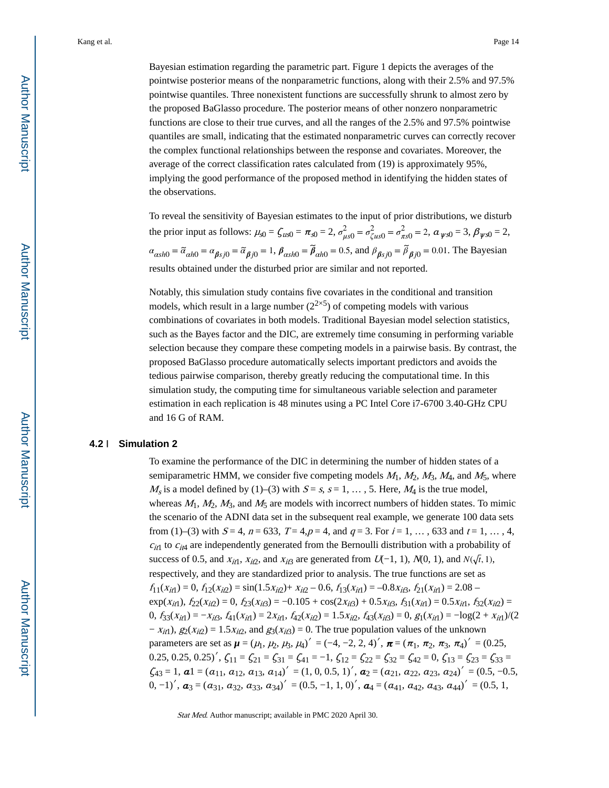Bayesian estimation regarding the parametric part. Figure 1 depicts the averages of the pointwise posterior means of the nonparametric functions, along with their 2.5% and 97.5% pointwise quantiles. Three nonexistent functions are successfully shrunk to almost zero by the proposed BaGlasso procedure. The posterior means of other nonzero nonparametric functions are close to their true curves, and all the ranges of the 2.5% and 97.5% pointwise quantiles are small, indicating that the estimated nonparametric curves can correctly recover the complex functional relationships between the response and covariates. Moreover, the average of the correct classification rates calculated from (19) is approximately 95%, implying the good performance of the proposed method in identifying the hidden states of the observations.

To reveal the sensitivity of Bayesian estimates to the input of prior distributions, we disturb the prior input as follows:  $\mu_{s0} = \zeta_{u s0} = \pi_{s0} = 2$ ,  $\sigma_{\mu s0}^2 = \sigma_{\zeta u s0}^2 = \sigma_{\pi s0}^2 = 2$ ,  $\alpha_{\psi s0} = 3$ ,  $\beta_{\psi s0} = 2$ ,  $\alpha_{\alpha sh0} = \tilde{\alpha}_{\alpha h0} = \alpha_{\beta s j0} = \tilde{\alpha}_{\beta j0} = 1$ ,  $\beta_{\alpha sh0} = \tilde{\beta}_{\alpha h0} = 0.5$ , and  $\beta_{\beta s j0} = \tilde{\beta}_{\beta j0} = 0.01$ . The Bayesian results obtained under the disturbed prior are similar and not reported.

Notably, this simulation study contains five covariates in the conditional and transition models, which result in a large number  $(2^{2\times5})$  of competing models with various combinations of covariates in both models. Traditional Bayesian model selection statistics, such as the Bayes factor and the DIC, are extremely time consuming in performing variable selection because they compare these competing models in a pairwise basis. By contrast, the proposed BaGlasso procedure automatically selects important predictors and avoids the tedious pairwise comparison, thereby greatly reducing the computational time. In this simulation study, the computing time for simultaneous variable selection and parameter estimation in each replication is 48 minutes using a PC Intel Core i7-6700 3.40-GHz CPU and 16 G of RAM.

#### **4.2** ∣ **Simulation 2**

To examine the performance of the DIC in determining the number of hidden states of a semiparametric HMM, we consider five competing models  $M_1$ ,  $M_2$ ,  $M_3$ ,  $M_4$ , and  $M_5$ , where  $M_s$  is a model defined by (1)–(3) with  $S = s$ ,  $s = 1, ..., 5$ . Here,  $M_4$  is the true model, whereas  $M_1$ ,  $M_2$ ,  $M_3$ , and  $M_5$  are models with incorrect numbers of hidden states. To mimic the scenario of the ADNI data set in the subsequent real example, we generate 100 data sets from (1)–(3) with  $S = 4$ ,  $n = 633$ ,  $T = 4$ ,  $p = 4$ , and  $q = 3$ . For  $i = 1, ..., 633$  and  $t = 1, ..., 4$ ,  $c_{i/1}$  to  $c_{i/4}$  are independently generated from the Bernoulli distribution with a probability of success of 0.5, and  $x_{it1}$ ,  $x_{it2}$ , and  $x_{it3}$  are generated from  $U(-1, 1)$ ,  $N(0, 1)$ , and  $N(\sqrt{t}, 1)$ , respectively, and they are standardized prior to analysis. The true functions are set as  $f_{11}(x_{it1}) = 0$ ,  $f_{12}(x_{it2}) = \sin(1.5x_{it2}) + x_{it2} - 0.6$ ,  $f_{13}(x_{it1}) = -0.8x_{it3}$ ,  $f_{21}(x_{it1}) = 2.08 - 0.6$  $\exp(x_{i\text{f1}}), f_{2\text{f}}(x_{i\text{f2}}) = 0, f_{2\text{f}}(x_{i\text{f3}}) = -0.105 + \cos(2x_{i\text{f3}}) + 0.5x_{i\text{f3}}, f_{3\text{f}}(x_{i\text{f1}}) = 0.5x_{i\text{f1}}, f_{3\text{f}}(x_{i\text{f2}}) =$  $(0, f_{33}(x_{it}) = -x_{it3}, f_{41}(x_{it1}) = 2x_{it1}, f_{42}(x_{it2}) = 1.5x_{it2}, f_{43}(x_{it3}) = 0, g_1(x_{it1}) = -\log(2 + x_{it1})/(2)$  $-x_{it1}$ ,  $g_2(x_{it2}) = 1.5x_{it2}$ , and  $g_3(x_{it3}) = 0$ . The true population values of the unknown parameters are set as  $\mu = (\mu_1, \mu_2, \mu_3, \mu_4)' = (-4, -2, 2, 4)'$ ,  $\pi = (\pi_1, \pi_2, \pi_3, \pi_4)' = (0.25,$ 0.25, 0.25, 0.25)<sup>'</sup>,  $\zeta_{11} = \zeta_{21} = \zeta_{31} = \zeta_{41} = -1$ ,  $\zeta_{12} = \zeta_{22} = \zeta_{32} = \zeta_{42} = 0$ ,  $\zeta_{13} = \zeta_{23} = \zeta_{33} =$  $\zeta_{43} = 1$ ,  $a1 = (a_{11}, a_{12}, a_{13}, a_{14})' = (1, 0, 0.5, 1)'$ ,  $a_2 = (a_{21}, a_{22}, a_{23}, a_{24})' = (0.5, -0.5, -0.5, -0.5, -0.5)$ 0, -1)',  $a_3 = (a_{31}, a_{32}, a_{33}, a_{34})' = (0.5, -1, 1, 0)'$ ,  $a_4 = (a_{41}, a_{42}, a_{43}, a_{44})' = (0.5, 1, 1, 0)'$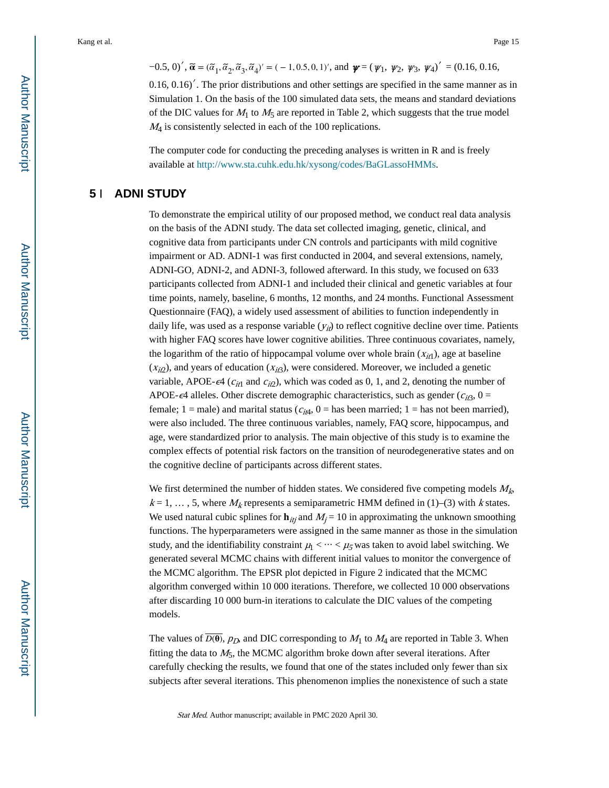$(-0.5, 0)'$ ,  $\tilde{\alpha} = (\tilde{\alpha}_1, \tilde{\alpha}_2, \tilde{\alpha}_3, \tilde{\alpha}_4)' = (-1, 0.5, 0, 1)'$ , and  $\boldsymbol{\psi} = (\psi_1, \psi_2, \psi_3, \psi_4)' = (0.16, 0.16, 0.16, 0.16, 0.16, 0.16, 0.16, 0.16, 0.16, 0.16, 0.16, 0.16, 0.16, 0.16, 0.16, 0.16, 0.16, 0.16, 0.16, 0.1$ 

0.16, 0.16)′. The prior distributions and other settings are specified in the same manner as in Simulation 1. On the basis of the 100 simulated data sets, the means and standard deviations of the DIC values for  $M_1$  to  $M_5$  are reported in Table 2, which suggests that the true model  $M_4$  is consistently selected in each of the 100 replications.

The computer code for conducting the preceding analyses is written in R and is freely available at <http://www.sta.cuhk.edu.hk/xysong/codes/BaGLassoHMMs>.

## **5** ∣ **ADNI STUDY**

To demonstrate the empirical utility of our proposed method, we conduct real data analysis on the basis of the ADNI study. The data set collected imaging, genetic, clinical, and cognitive data from participants under CN controls and participants with mild cognitive impairment or AD. ADNI-1 was first conducted in 2004, and several extensions, namely, ADNI-GO, ADNI-2, and ADNI-3, followed afterward. In this study, we focused on 633 participants collected from ADNI-1 and included their clinical and genetic variables at four time points, namely, baseline, 6 months, 12 months, and 24 months. Functional Assessment Questionnaire (FAQ), a widely used assessment of abilities to function independently in daily life, was used as a response variable  $(y_{ij})$  to reflect cognitive decline over time. Patients with higher FAQ scores have lower cognitive abilities. Three continuous covariates, namely, the logarithm of the ratio of hippocampal volume over whole brain  $(x_{it1})$ , age at baseline  $(x_{i\ell}$ ), and years of education  $(x_{i\ell}$ ), were considered. Moreover, we included a genetic variable, APOE- $\epsilon$ 4 ( $c_{it1}$  and  $c_{it2}$ ), which was coded as 0, 1, and 2, denoting the number of APOE- $\epsilon$ 4 alleles. Other discrete demographic characteristics, such as gender ( $c_{i}$ , 0 = female; 1 = male) and marital status ( $c_{it4}$ , 0 = has been married; 1 = has not been married), were also included. The three continuous variables, namely, FAQ score, hippocampus, and age, were standardized prior to analysis. The main objective of this study is to examine the complex effects of potential risk factors on the transition of neurodegenerative states and on the cognitive decline of participants across different states.

We first determined the number of hidden states. We considered five competing models  $M_k$ ,  $k = 1, \ldots, 5$ , where  $M_k$  represents a semiparametric HMM defined in (1)–(3) with k states. We used natural cubic splines for  $h_{itj}$  and  $M_j = 10$  in approximating the unknown smoothing functions. The hyperparameters were assigned in the same manner as those in the simulation study, and the identifiability constraint  $\mu_1 < \cdots < \mu_5$  was taken to avoid label switching. We generated several MCMC chains with different initial values to monitor the convergence of the MCMC algorithm. The EPSR plot depicted in Figure 2 indicated that the MCMC algorithm converged within 10 000 iterations. Therefore, we collected 10 000 observations after discarding 10 000 burn-in iterations to calculate the DIC values of the competing models.

The values of  $\overline{D(\theta)}$ ,  $p_D$ , and DIC corresponding to  $M_1$  to  $M_4$  are reported in Table 3. When fitting the data to  $M_5$ , the MCMC algorithm broke down after several iterations. After carefully checking the results, we found that one of the states included only fewer than six subjects after several iterations. This phenomenon implies the nonexistence of such a state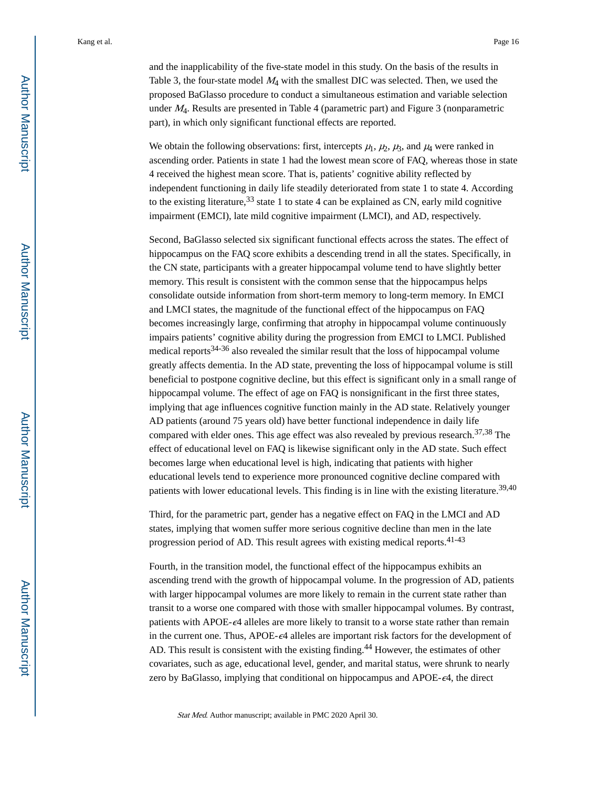and the inapplicability of the five-state model in this study. On the basis of the results in Table 3, the four-state model  $M_4$  with the smallest DIC was selected. Then, we used the proposed BaGlasso procedure to conduct a simultaneous estimation and variable selection under  $M<sub>4</sub>$ . Results are presented in Table 4 (parametric part) and Figure 3 (nonparametric part), in which only significant functional effects are reported.

We obtain the following observations: first, intercepts  $\mu_1$ ,  $\mu_2$ ,  $\mu_3$ , and  $\mu_4$  were ranked in ascending order. Patients in state 1 had the lowest mean score of FAQ, whereas those in state 4 received the highest mean score. That is, patients' cognitive ability reflected by independent functioning in daily life steadily deteriorated from state 1 to state 4. According to the existing literature,  $33$  state 1 to state 4 can be explained as CN, early mild cognitive impairment (EMCI), late mild cognitive impairment (LMCI), and AD, respectively.

Second, BaGlasso selected six significant functional effects across the states. The effect of hippocampus on the FAQ score exhibits a descending trend in all the states. Specifically, in the CN state, participants with a greater hippocampal volume tend to have slightly better memory. This result is consistent with the common sense that the hippocampus helps consolidate outside information from short-term memory to long-term memory. In EMCI and LMCI states, the magnitude of the functional effect of the hippocampus on FAQ becomes increasingly large, confirming that atrophy in hippocampal volume continuously impairs patients' cognitive ability during the progression from EMCI to LMCI. Published medical reports<sup>34-36</sup> also revealed the similar result that the loss of hippocampal volume greatly affects dementia. In the AD state, preventing the loss of hippocampal volume is still beneficial to postpone cognitive decline, but this effect is significant only in a small range of hippocampal volume. The effect of age on FAQ is nonsignificant in the first three states, implying that age influences cognitive function mainly in the AD state. Relatively younger AD patients (around 75 years old) have better functional independence in daily life compared with elder ones. This age effect was also revealed by previous research.<sup>37,38</sup> The effect of educational level on FAQ is likewise significant only in the AD state. Such effect becomes large when educational level is high, indicating that patients with higher educational levels tend to experience more pronounced cognitive decline compared with patients with lower educational levels. This finding is in line with the existing literature.<sup>39,40</sup>

Third, for the parametric part, gender has a negative effect on FAQ in the LMCI and AD states, implying that women suffer more serious cognitive decline than men in the late progression period of AD. This result agrees with existing medical reports.41-43

Fourth, in the transition model, the functional effect of the hippocampus exhibits an ascending trend with the growth of hippocampal volume. In the progression of AD, patients with larger hippocampal volumes are more likely to remain in the current state rather than transit to a worse one compared with those with smaller hippocampal volumes. By contrast, patients with APOE- $\epsilon$ 4 alleles are more likely to transit to a worse state rather than remain in the current one. Thus, APOE- $\epsilon$ 4 alleles are important risk factors for the development of AD. This result is consistent with the existing finding.<sup>44</sup> However, the estimates of other covariates, such as age, educational level, gender, and marital status, were shrunk to nearly zero by BaGlasso, implying that conditional on hippocampus and APOE-€4, the direct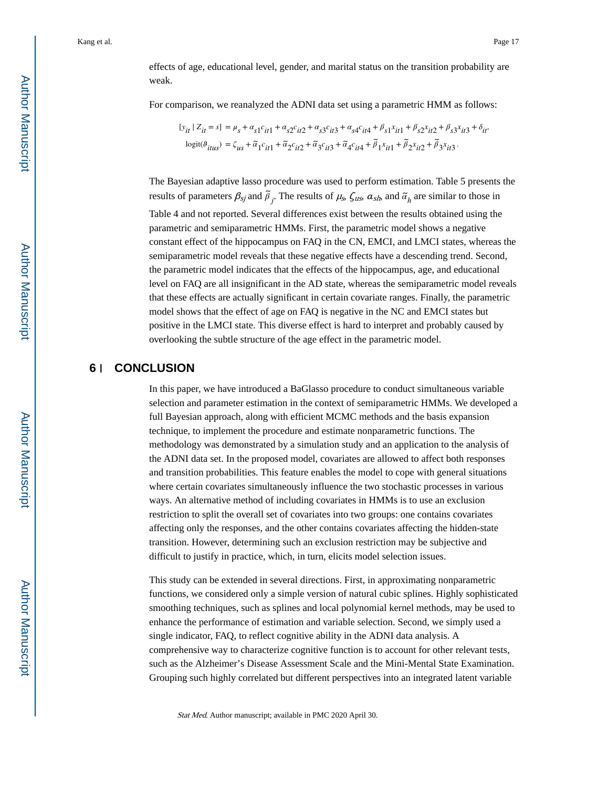effects of age, educational level, gender, and marital status on the transition probability are weak.

For comparison, we reanalyzed the ADNI data set using a parametric HMM as follows:

 $[y_{it} | Z_{it} = s] = \mu_s + \alpha_{s1}c_{it1} + \alpha_{s2}c_{it2} + \alpha_{s3}c_{it3} + \alpha_{s4}c_{it4} + \beta_{s1}x_{it1} + \beta_{s2}x_{it2} + \beta_{s3}x_{it3} + \delta_{it2}x_{it4} + \delta_{st3}x_{it5} + \delta_{st4}x_{it5} + \delta_{st5}x_{it6} + \delta_{st6}x_{it7} + \delta_{st7}x_{it8} + \delta_{st7}x_{it9} + \delta_{st7}x_{it1} + \delta_{st8}x_{it1} + \delta_{st9}x_{it1}$  $\text{logit}(\theta_{itus}) = \zeta_{us} + \widetilde{\alpha}_1 c_{it1} + \widetilde{\alpha}_2 c_{it2} + \widetilde{\alpha}_3 c_{it3} + \widetilde{\alpha}_4 c_{it4} + \beta_1 x_{it1} + \beta_2 x_{it2} + \beta_3 x_{it3}.$ 

The Bayesian adaptive lasso procedure was used to perform estimation. Table 5 presents the results of parameters  $\beta_{sj}$  and  $\tilde{\beta}_j$ . The results of  $\mu_s$ ,  $\zeta_{us}$ ,  $\alpha_{sh}$ , and  $\tilde{\alpha}_h$  are similar to those in Table 4 and not reported. Several differences exist between the results obtained using the parametric and semiparametric HMMs. First, the parametric model shows a negative constant effect of the hippocampus on FAQ in the CN, EMCI, and LMCI states, whereas the semiparametric model reveals that these negative effects have a descending trend. Second, the parametric model indicates that the effects of the hippocampus, age, and educational level on FAQ are all insignificant in the AD state, whereas the semiparametric model reveals that these effects are actually significant in certain covariate ranges. Finally, the parametric model shows that the effect of age on FAQ is negative in the NC and EMCI states but positive in the LMCI state. This diverse effect is hard to interpret and probably caused by overlooking the subtle structure of the age effect in the parametric model.

### **6** ∣ **CONCLUSION**

In this paper, we have introduced a BaGlasso procedure to conduct simultaneous variable selection and parameter estimation in the context of semiparametric HMMs. We developed a full Bayesian approach, along with efficient MCMC methods and the basis expansion technique, to implement the procedure and estimate nonparametric functions. The methodology was demonstrated by a simulation study and an application to the analysis of the ADNI data set. In the proposed model, covariates are allowed to affect both responses and transition probabilities. This feature enables the model to cope with general situations where certain covariates simultaneously influence the two stochastic processes in various ways. An alternative method of including covariates in HMMs is to use an exclusion restriction to split the overall set of covariates into two groups: one contains covariates affecting only the responses, and the other contains covariates affecting the hidden-state transition. However, determining such an exclusion restriction may be subjective and difficult to justify in practice, which, in turn, elicits model selection issues.

This study can be extended in several directions. First, in approximating nonparametric functions, we considered only a simple version of natural cubic splines. Highly sophisticated smoothing techniques, such as splines and local polynomial kernel methods, may be used to enhance the performance of estimation and variable selection. Second, we simply used a single indicator, FAQ, to reflect cognitive ability in the ADNI data analysis. A comprehensive way to characterize cognitive function is to account for other relevant tests, such as the Alzheimer's Disease Assessment Scale and the Mini-Mental State Examination. Grouping such highly correlated but different perspectives into an integrated latent variable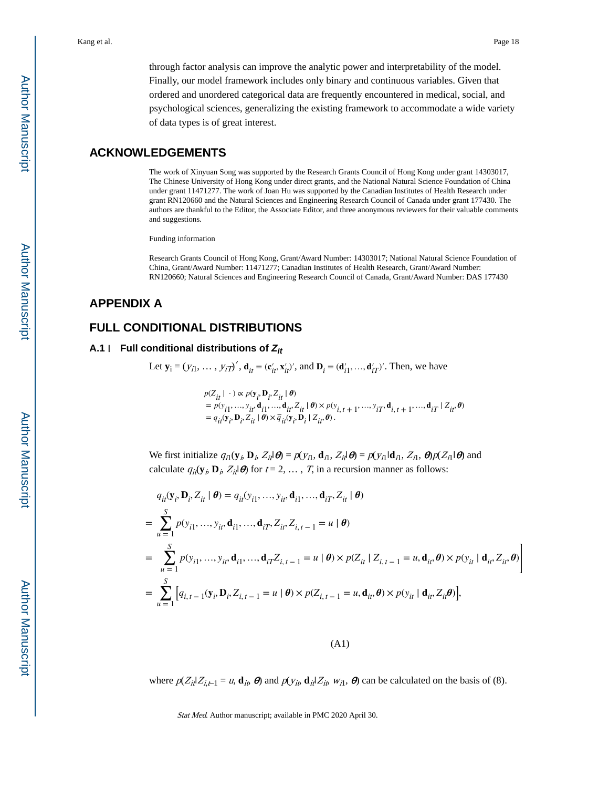through factor analysis can improve the analytic power and interpretability of the model. Finally, our model framework includes only binary and continuous variables. Given that ordered and unordered categorical data are frequently encountered in medical, social, and psychological sciences, generalizing the existing framework to accommodate a wide variety of data types is of great interest.

## **ACKNOWLEDGEMENTS**

The work of Xinyuan Song was supported by the Research Grants Council of Hong Kong under grant 14303017, The Chinese University of Hong Kong under direct grants, and the National Natural Science Foundation of China under grant 11471277. The work of Joan Hu was supported by the Canadian Institutes of Health Research under grant RN120660 and the Natural Sciences and Engineering Research Council of Canada under grant 177430. The authors are thankful to the Editor, the Associate Editor, and three anonymous reviewers for their valuable comments and suggestions.

Funding information

Research Grants Council of Hong Kong, Grant/Award Number: 14303017; National Natural Science Foundation of China, Grant/Award Number: 11471277; Canadian Institutes of Health Research, Grant/Award Number: RN120660; Natural Sciences and Engineering Research Council of Canada, Grant/Award Number: DAS 177430

## **APPENDIX A**

## **FULL CONDITIONAL DISTRIBUTIONS**

#### **A.1** ∣ **Full conditional distributions of** *Zit*

Let 
$$
\mathbf{y}_i = (y_{i1}, \dots, y_{iT})'
$$
,  $\mathbf{d}_{it} = (\mathbf{c}_{it}', \mathbf{x}_{it}')'$ , and  $\mathbf{D}_i = (\mathbf{d}_{i1}', \dots, \mathbf{d}_{iT}')'$ . Then, we have

$$
p(Z_{it} \mid \cdot) \propto p(\mathbf{y}_i, \mathbf{D}_i, Z_{it} \mid \boldsymbol{\theta})
$$
  
=  $p(y_{i1}, ..., y_{it}, \mathbf{d}_{i1}, ..., \mathbf{d}_{it}, Z_{it} \mid \boldsymbol{\theta}) \times p(y_{i, t+1}, ..., y_{iT}, \mathbf{d}_{i, t+1}, ..., \mathbf{d}_{iT} \mid Z_{it}, \boldsymbol{\theta})$   
=  $q_{it}(\mathbf{y}_i, \mathbf{D}_i, Z_{it} \mid \boldsymbol{\theta}) \times \overline{q}_{it}(\mathbf{y}_i, \mathbf{D}_i \mid Z_{it}, \boldsymbol{\theta}).$ 

We first initialize  $q_{i1}(\mathbf{y}_i, \mathbf{D}_i, Z_{it} | \boldsymbol{\Theta}) = p(y_{i1}, \mathbf{d}_{i1}, Z_{it} | \boldsymbol{\Theta}) = p(y_{i1} | \mathbf{d}_{i1}, Z_{i1}, \boldsymbol{\Theta}) p(Z_{i1} | \boldsymbol{\Theta})$  and calculate  $q_{i}(y_i, D_i, Z_{i} | \boldsymbol{\theta})$  for  $t = 2, ..., T$ , in a recursion manner as follows:

$$
q_{it}(\mathbf{y}_i, \mathbf{D}_i, Z_{it} | \boldsymbol{\theta}) = q_{it}(\mathbf{y}_{i1}, ..., \mathbf{y}_{it}, \mathbf{d}_{i1}, ..., \mathbf{d}_{iT}, Z_{it} | \boldsymbol{\theta})
$$
  
\n
$$
= \sum_{u=1}^{S} p(\mathbf{y}_{i1}, ..., \mathbf{y}_{it}, \mathbf{d}_{i1}, ..., \mathbf{d}_{iT}, Z_{it}, Z_{i,t-1} = u | \boldsymbol{\theta})
$$
  
\n
$$
= \sum_{u=1}^{S} p(\mathbf{y}_{i1}, ..., \mathbf{y}_{it}, \mathbf{d}_{i1}, ..., \mathbf{d}_{iT} Z_{i,t-1} = u | \boldsymbol{\theta}) \times p(Z_{it} | Z_{i,t-1} = u, \mathbf{d}_{it}, \boldsymbol{\theta}) \times p(\mathbf{y}_{it} | \mathbf{d}_{it}, Z_{it}, \boldsymbol{\theta})
$$
  
\n
$$
= \sum_{u=1}^{S} [q_{i,t-1}(\mathbf{y}_i, \mathbf{D}_i, Z_{i,t-1} = u | \boldsymbol{\theta}) \times p(Z_{i,t-1} = u, \mathbf{d}_{it}, \boldsymbol{\theta}) \times p(\mathbf{y}_{it} | \mathbf{d}_{it}, Z_{it} \boldsymbol{\theta})],
$$

(A1)

where  $p(Z_{it}|Z_{i,t-1} = u, \mathbf{d}_{it}, \boldsymbol{\Theta})$  and  $p(y_{it}, \mathbf{d}_{it}|Z_{it}, w_{i1}, \boldsymbol{\Theta})$  can be calculated on the basis of (8).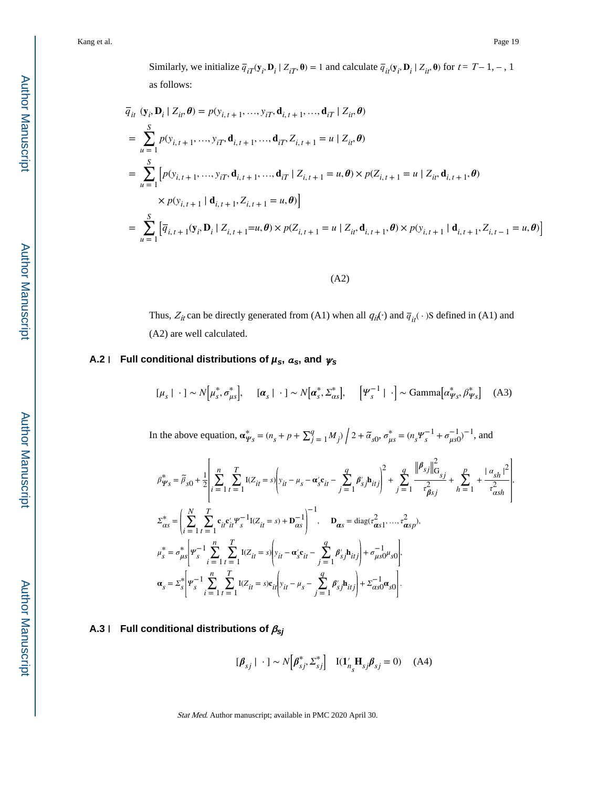Similarly, we initialize  $\overline{q}_{iT}(\mathbf{y}_i, \mathbf{D}_i | Z_{iT}, \mathbf{\theta}) = 1$  and calculate  $\overline{q}_{it}(\mathbf{y}_i, \mathbf{D}_i | Z_{it}, \mathbf{\theta})$  for  $t = T - 1, -1, 1$ as follows:

$$
\overline{q}_{it} (\mathbf{y}_{i}, \mathbf{D}_{i} | Z_{it}, \theta) = p(y_{i, t+1}, ..., y_{iT}, \mathbf{d}_{i, t+1}, ..., \mathbf{d}_{iT} | Z_{it}, \theta)
$$
\n
$$
= \sum_{u=1}^{S} p(y_{i, t+1}, ..., y_{iT}, \mathbf{d}_{i, t+1}, ..., \mathbf{d}_{iT}, Z_{i, t+1} = u | Z_{it}, \theta)
$$
\n
$$
= \sum_{u=1}^{S} [p(y_{i, t+1}, ..., y_{iT}, \mathbf{d}_{i, t+1}, ..., \mathbf{d}_{iT} | Z_{i, t+1} = u, \theta) \times p(Z_{i, t+1} = u | Z_{it}, \mathbf{d}_{i, t+1}, \theta)
$$
\n
$$
\times p(y_{i, t+1} | \mathbf{d}_{i, t+1}, Z_{i, t+1} = u, \theta)]
$$
\n
$$
= \sum_{u=1}^{S} [\overline{q}_{i, t+1} ( \mathbf{y}_{i}, \mathbf{D}_{i} | Z_{i, t+1} = u, \theta) \times p(Z_{i, t+1} = u | Z_{it}, \mathbf{d}_{i, t+1}, \theta) \times p(y_{i, t+1} | \mathbf{d}_{i, t+1}, Z_{i, t-1} = u, \theta)]
$$

(A2)

Thus,  $Z_{it}$  can be directly generated from (A1) when all  $q_{it}(\cdot)$  and  $\bar{q}_{it}(\cdot)$  S defi  $i$ <sup>*i*</sup> ( ⋅ )S defined in (A1) and (A2) are well calculated.

## **A.2** | Full conditional distributions of  $\mu_s$ ,  $a_s$ , and  $\psi_s$

$$
[\mu_s | \cdot] \sim N\Big[\mu_s^*, \sigma_{\mu s}^*\Big], \quad [\alpha_s | \cdot] \sim N[\alpha_s^*, \Sigma_{\alpha s}^*], \quad [\Psi_s^{-1} | \cdot] \sim \text{Gamma}[\alpha_{\Psi s}^*, \beta_{\Psi s}^*] \quad (A3)
$$

In the above equation,  $\alpha_{\Psi_s}^* = (n_s + p + \sum_{j=1}^q M_j) / 2 + \tilde{\alpha}_{s0}, \sigma_{\mu s}^* = (n_s \Psi_s^{-1} + \sigma_{\mu s0}^{-1})^{-1}$ , and

$$
\beta_{\Psi_{S}}^{*} = \tilde{\beta}_{s0} + \frac{1}{2} \left| \sum_{i=1}^{n} \sum_{t=1}^{T} I(Z_{it} = s) \left( y_{it} - \mu_{s} - \alpha_{s}^{\prime} c_{it} - \sum_{j=1}^{q} \beta_{sj}^{\prime} h_{itj} \right) \right|^{2} + \sum_{j=1}^{q} \frac{\left\| \beta_{sj} \right\|_{G_{sj}}^{2}}{\tau_{\beta sj}^{2}} + \sum_{h=1}^{p} \frac{1 - \frac{1}{\tau_{\beta h}} \left( \sum_{i=1}^{p} \sum_{t=1}^{T} c_{it} c_{it}^{\prime} \Psi_{s}^{-1} I(Z_{it} = s) + \mathbf{D}_{as}^{-1} \right)}{\tau_{\beta s}^{2}} \right|^{2}
$$
\n
$$
\Sigma_{as}^{*} = \left( \sum_{i=1}^{N} \sum_{t=1}^{T} c_{it} c_{it}^{\prime} \Psi_{s}^{-1} I(Z_{it} = s) + \mathbf{D}_{as}^{-1} \right)^{-1}, \qquad \mathbf{D}_{as} = \text{diag}(\tau_{as1}^{2}, \dots, \tau_{asp}^{2}),
$$
\n
$$
\mu_{s}^{*} = \sigma_{\mu s}^{*} \left[ \Psi_{s}^{-1} \sum_{i=1}^{n} \sum_{t=1}^{T} I(Z_{it} = s) \left( y_{it} - \alpha_{s}^{\prime} c_{it} - \sum_{j=1}^{q} \beta_{sj}^{\prime} h_{itj} \right) + \sigma_{\mu s0}^{-1} \mu_{s0} \right],
$$
\n
$$
\alpha_{s} = \Sigma_{s}^{*} \left[ \Psi_{s}^{-1} \sum_{i=1}^{n} \sum_{t=1}^{T} I(Z_{it} = s) c_{it} \left( y_{it} - \mu_{s} - \sum_{j=1}^{q} \beta_{sj}^{\prime} h_{itj} \right) + \Sigma_{as0}^{-1} \alpha_{s0} \right].
$$

## **A.3** ∣ **Full conditional distributions of** β*sj*

$$
[\boldsymbol{\beta}_{sj}] \cdot ] \sim N[\boldsymbol{\beta}_{sj}^*, \boldsymbol{\Sigma}_{sj}^*] \quad \mathcal{I}(\mathbf{1}_{n_s}^{\prime} \mathbf{H}_{sj} \boldsymbol{\beta}_{sj} = 0) \quad (A4)
$$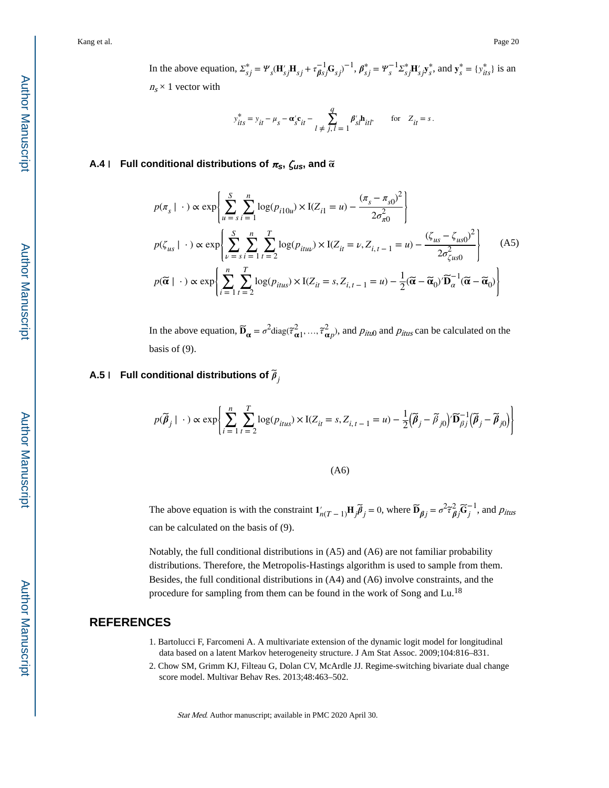In the above equation,  $\Sigma_{sj}^* = \Psi_s(\mathbf{H}_{sj}'\mathbf{H}_{sj} + \tau_{\beta sj}^{-1}\mathbf{G}_{sj})^{-1}$ ,  $\beta_{sj}^* = \Psi_s^{-1}\Sigma_{sj}^* \mathbf{H}_{sj}'\mathbf{y}_s^*$ , and  $\mathbf{y}_s^* = \{y_{its}^*\}$  is an  $n_s \times 1$  vector with

*y its* <sup>∗</sup> <sup>=</sup> *<sup>y</sup> it* <sup>−</sup> *<sup>μ</sup> s* − **α** *s* ′**c** *it* <sup>−</sup> ∑ *l* ≠ *j*, *l* = 1 *q β sl*′ **h** *itl*, for *<sup>Z</sup> it* <sup>=</sup> *<sup>s</sup>*.

### **A.4** | Full conditional distributions of  $\pi_s$ ,  $\zeta_{us}$ , and  $\tilde{\alpha}$

$$
p(\pi_s | \cdot) \propto \exp \left\{ \sum_{u=s}^{S} \sum_{i=1}^{n} \log(p_{i10u}) \times I(Z_{i1} = u) - \frac{(\pi_s - \pi_{s0})^2}{2\sigma_{\pi0}^2} \right\}
$$
  
\n
$$
p(\zeta_{us} | \cdot) \propto \exp \left\{ \sum_{\nu=s}^{S} \sum_{i=1}^{n} \sum_{t=2}^{T} \log(p_{iuu}) \times I(Z_{it} = \nu, Z_{i,t-1} = u) - \frac{(\zeta_{us} - \zeta_{us0})^2}{2\sigma_{\zeta_{us0}}^2} \right\}
$$
 (A5)  
\n
$$
p(\widetilde{\alpha} | \cdot) \propto \exp \left\{ \sum_{i=1}^{n} \sum_{t=2}^{T} \log(p_{itus}) \times I(Z_{it} = s, Z_{i,t-1} = u) - \frac{1}{2} (\widetilde{\alpha} - \widetilde{\alpha}_0)' \widetilde{\mathbf{D}}_{\alpha}^{-1} (\widetilde{\alpha} - \widetilde{\alpha}_0) \right\}
$$

In the above equation,  $\widetilde{\mathbf{D}}_{\alpha} = \sigma^2 \text{diag}(\widetilde{\tau}_{\alpha 1}^2, ..., \widetilde{\tau}_{\alpha p}^2)$ , and  $p_{itu0}$  and  $p_{itus}$  can be calculated on the basis of (9).

#### **A.5** ∣ **Full conditional distributions of** *β j*

$$
p(\widetilde{\boldsymbol{\beta}}_j \mid \cdot) \propto \exp\left\{ \sum_{i=1}^n \sum_{t=2}^T \log(p_{itus}) \times \mathbf{I}(Z_{it} = s, Z_{i, t-1} = u) - \frac{1}{2} (\widetilde{\boldsymbol{\beta}}_j - \widetilde{\boldsymbol{\beta}}_{j0})^T \widetilde{\mathbf{D}}_{\beta j}^{-1} (\widetilde{\boldsymbol{\beta}}_j - \widetilde{\boldsymbol{\beta}}_{j0}) \right\}
$$

(A6)

The above equation is with the constraint  $\mathbf{1}'_{n}(T-1)\mathbf{H}_j\tilde{\boldsymbol{\beta}}_j = 0$ , where  $\widetilde{\mathbf{D}}_{\boldsymbol{\beta}j} = \sigma^2 \widetilde{\tau}_{\boldsymbol{\beta}j}^2 \widetilde{\mathbf{G}}_j^{-1}$ , and  $p_{itus}$ can be calculated on the basis of (9).

Notably, the full conditional distributions in (A5) and (A6) are not familiar probability distributions. Therefore, the Metropolis-Hastings algorithm is used to sample from them. Besides, the full conditional distributions in (A4) and (A6) involve constraints, and the procedure for sampling from them can be found in the work of Song and Lu.<sup>18</sup>

#### **REFERENCES**

- 1. Bartolucci F, Farcomeni A. A multivariate extension of the dynamic logit model for longitudinal data based on a latent Markov heterogeneity structure. J Am Stat Assoc. 2009;104:816–831.
- 2. Chow SM, Grimm KJ, Filteau G, Dolan CV, McArdle JJ. Regime-switching bivariate dual change score model. Multivar Behav Res. 2013;48:463–502.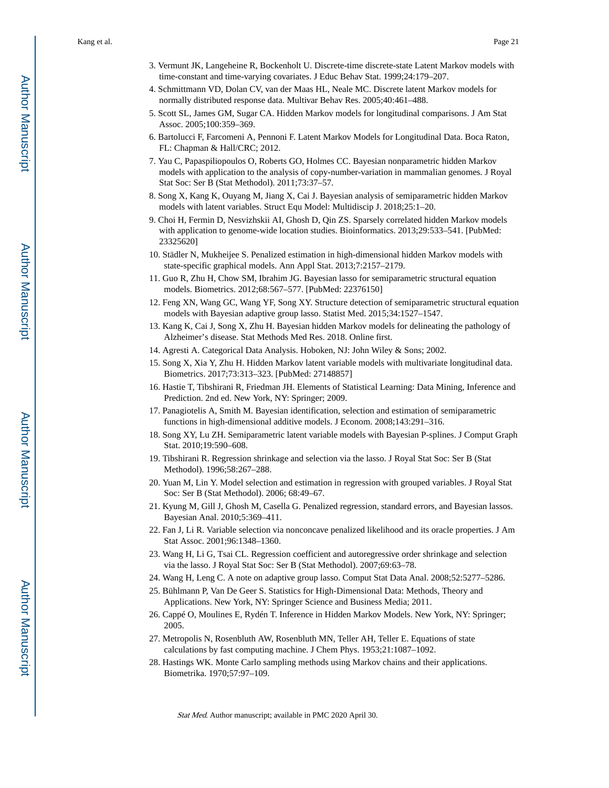- 3. Vermunt JK, Langeheine R, Bockenholt U. Discrete-time discrete-state Latent Markov models with time-constant and time-varying covariates. J Educ Behav Stat. 1999;24:179–207.
- 4. Schmittmann VD, Dolan CV, van der Maas HL, Neale MC. Discrete latent Markov models for normally distributed response data. Multivar Behav Res. 2005;40:461–488.
- 5. Scott SL, James GM, Sugar CA. Hidden Markov models for longitudinal comparisons. J Am Stat Assoc. 2005;100:359–369.
- 6. Bartolucci F, Farcomeni A, Pennoni F. Latent Markov Models for Longitudinal Data. Boca Raton, FL: Chapman & Hall/CRC; 2012.
- 7. Yau C, Papaspiliopoulos O, Roberts GO, Holmes CC. Bayesian nonparametric hidden Markov models with application to the analysis of copy-number-variation in mammalian genomes. J Royal Stat Soc: Ser B (Stat Methodol). 2011;73:37–57.
- 8. Song X, Kang K, Ouyang M, Jiang X, Cai J. Bayesian analysis of semiparametric hidden Markov models with latent variables. Struct Equ Model: Multidiscip J. 2018;25:1–20.
- 9. Choi H, Fermin D, Nesvizhskii AI, Ghosh D, Qin ZS. Sparsely correlated hidden Markov models with application to genome-wide location studies. Bioinformatics. 2013;29:533–541. [PubMed: 23325620]
- 10. Städler N, Mukheijee S. Penalized estimation in high-dimensional hidden Markov models with state-specific graphical models. Ann Appl Stat. 2013;7:2157–2179.
- 11. Guo R, Zhu H, Chow SM, Ibrahim JG. Bayesian lasso for semiparametric structural equation models. Biometrics. 2012;68:567–577. [PubMed: 22376150]
- 12. Feng XN, Wang GC, Wang YF, Song XY. Structure detection of semiparametric structural equation models with Bayesian adaptive group lasso. Statist Med. 2015;34:1527–1547.
- 13. Kang K, Cai J, Song X, Zhu H. Bayesian hidden Markov models for delineating the pathology of Alzheimer's disease. Stat Methods Med Res. 2018. Online first.
- 14. Agresti A. Categorical Data Analysis. Hoboken, NJ: John Wiley & Sons; 2002.
- 15. Song X, Xia Y, Zhu H. Hidden Markov latent variable models with multivariate longitudinal data. Biometrics. 2017;73:313–323. [PubMed: 27148857]
- 16. Hastie T, Tibshirani R, Friedman JH. Elements of Statistical Learning: Data Mining, Inference and Prediction. 2nd ed. New York, NY: Springer; 2009.
- 17. Panagiotelis A, Smith M. Bayesian identification, selection and estimation of semiparametric functions in high-dimensional additive models. J Econom. 2008;143:291–316.
- 18. Song XY, Lu ZH. Semiparametric latent variable models with Bayesian P-splines. J Comput Graph Stat. 2010;19:590–608.
- 19. Tibshirani R. Regression shrinkage and selection via the lasso. J Royal Stat Soc: Ser B (Stat Methodol). 1996;58:267–288.
- 20. Yuan M, Lin Y. Model selection and estimation in regression with grouped variables. J Royal Stat Soc: Ser B (Stat Methodol). 2006; 68:49–67.
- 21. Kyung M, Gill J, Ghosh M, Casella G. Penalized regression, standard errors, and Bayesian lassos. Bayesian Anal. 2010;5:369–411.
- 22. Fan J, Li R. Variable selection via nonconcave penalized likelihood and its oracle properties. J Am Stat Assoc. 2001;96:1348–1360.
- 23. Wang H, Li G, Tsai CL. Regression coefficient and autoregressive order shrinkage and selection via the lasso. J Royal Stat Soc: Ser B (Stat Methodol). 2007;69:63–78.
- 24. Wang H, Leng C. A note on adaptive group lasso. Comput Stat Data Anal. 2008;52:5277–5286.
- 25. Bühlmann P, Van De Geer S. Statistics for High-Dimensional Data: Methods, Theory and Applications. New York, NY: Springer Science and Business Media; 2011.
- 26. Cappé O, Moulines E, Rydén T. Inference in Hidden Markov Models. New York, NY: Springer; 2005.
- 27. Metropolis N, Rosenbluth AW, Rosenbluth MN, Teller AH, Teller E. Equations of state calculations by fast computing machine. J Chem Phys. 1953;21:1087–1092.
- 28. Hastings WK. Monte Carlo sampling methods using Markov chains and their applications. Biometrika. 1970;57:97–109.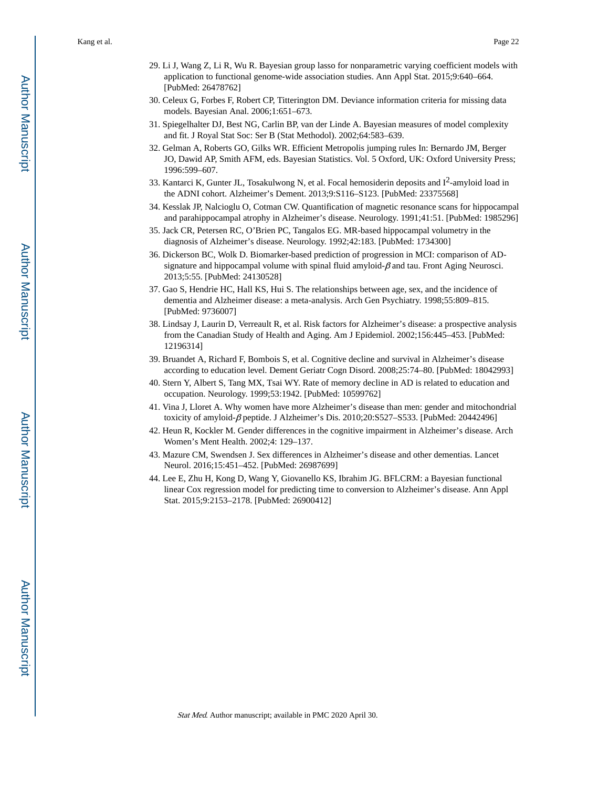- 29. Li J, Wang Z, Li R, Wu R. Bayesian group lasso for nonparametric varying coefficient models with application to functional genome-wide association studies. Ann Appl Stat. 2015;9:640–664. [PubMed: 26478762]
- 30. Celeux G, Forbes F, Robert CP, Titterington DM. Deviance information criteria for missing data models. Bayesian Anal. 2006;1:651–673.
- 31. Spiegelhalter DJ, Best NG, Carlin BP, van der Linde A. Bayesian measures of model complexity and fit. J Royal Stat Soc: Ser B (Stat Methodol). 2002;64:583–639.
- 32. Gelman A, Roberts GO, Gilks WR. Efficient Metropolis jumping rules In: Bernardo JM, Berger JO, Dawid AP, Smith AFM, eds. Bayesian Statistics. Vol. 5 Oxford, UK: Oxford University Press; 1996:599–607.
- 33. Kantarci K, Gunter JL, Tosakulwong N, et al. Focal hemosiderin deposits and  $I^2$ -amyloid load in the ADNI cohort. Alzheimer's Dement. 2013;9:S116–S123. [PubMed: 23375568]
- 34. Kesslak JP, Nalcioglu O, Cotman CW. Quantification of magnetic resonance scans for hippocampal and parahippocampal atrophy in Alzheimer's disease. Neurology. 1991;41:51. [PubMed: 1985296]
- 35. Jack CR, Petersen RC, O'Brien PC, Tangalos EG. MR-based hippocampal volumetry in the diagnosis of Alzheimer's disease. Neurology. 1992;42:183. [PubMed: 1734300]
- 36. Dickerson BC, Wolk D. Biomarker-based prediction of progression in MCI: comparison of ADsignature and hippocampal volume with spinal fluid amyloid- $\beta$  and tau. Front Aging Neurosci. 2013;5:55. [PubMed: 24130528]
- 37. Gao S, Hendrie HC, Hall KS, Hui S. The relationships between age, sex, and the incidence of dementia and Alzheimer disease: a meta-analysis. Arch Gen Psychiatry. 1998;55:809–815. [PubMed: 9736007]
- 38. Lindsay J, Laurin D, Verreault R, et al. Risk factors for Alzheimer's disease: a prospective analysis from the Canadian Study of Health and Aging. Am J Epidemiol. 2002;156:445–453. [PubMed: 12196314]
- 39. Bruandet A, Richard F, Bombois S, et al. Cognitive decline and survival in Alzheimer's disease according to education level. Dement Geriatr Cogn Disord. 2008;25:74–80. [PubMed: 18042993]
- 40. Stern Y, Albert S, Tang MX, Tsai WY. Rate of memory decline in AD is related to education and occupation. Neurology. 1999;53:1942. [PubMed: 10599762]
- 41. Vina J, Lloret A. Why women have more Alzheimer's disease than men: gender and mitochondrial toxicity of amyloid-β peptide. J Alzheimer's Dis. 2010;20:S527–S533. [PubMed: 20442496]
- 42. Heun R, Kockler M. Gender differences in the cognitive impairment in Alzheimer's disease. Arch Women's Ment Health. 2002;4: 129–137.
- 43. Mazure CM, Swendsen J. Sex differences in Alzheimer's disease and other dementias. Lancet Neurol. 2016;15:451–452. [PubMed: 26987699]
- 44. Lee E, Zhu H, Kong D, Wang Y, Giovanello KS, Ibrahim JG. BFLCRM: a Bayesian functional linear Cox regression model for predicting time to conversion to Alzheimer's disease. Ann Appl Stat. 2015;9:2153–2178. [PubMed: 26900412]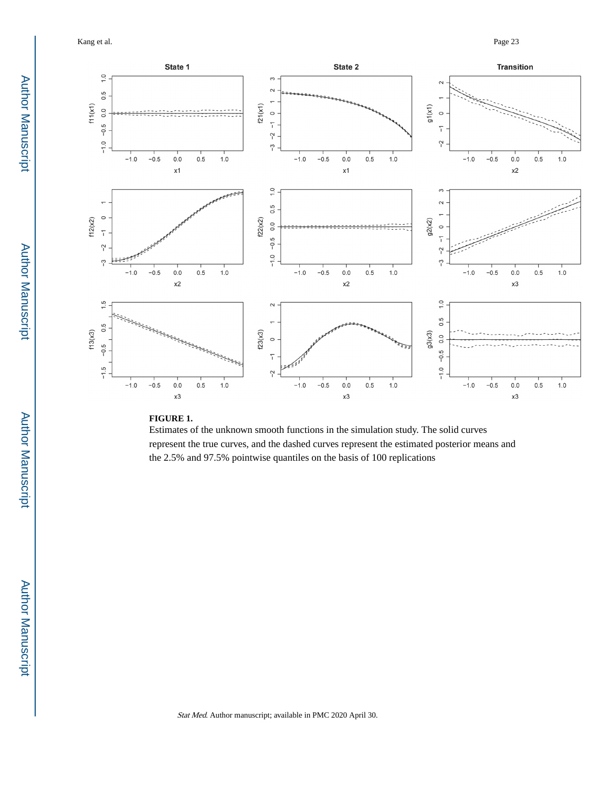Kang et al. Page 23



## **FIGURE 1.**

Estimates of the unknown smooth functions in the simulation study. The solid curves represent the true curves, and the dashed curves represent the estimated posterior means and the 2.5% and 97.5% pointwise quantiles on the basis of 100 replications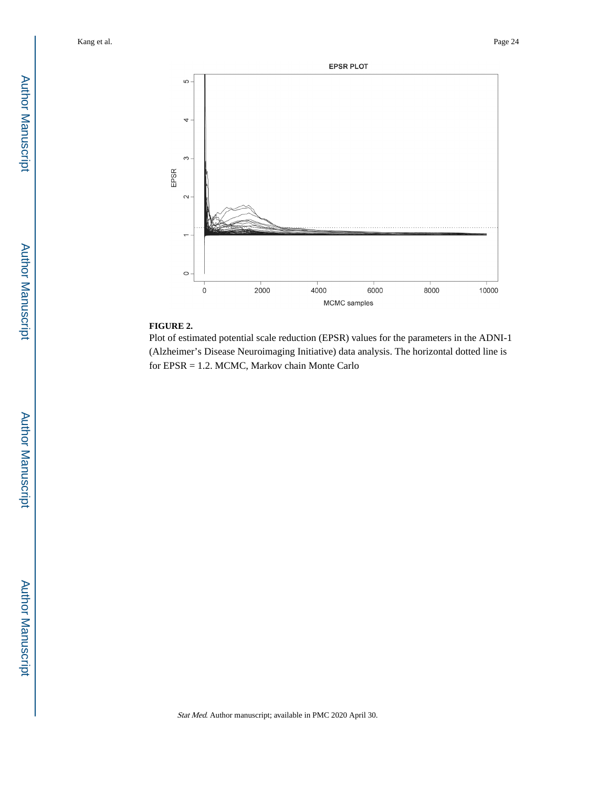

## **FIGURE 2.**

Plot of estimated potential scale reduction (EPSR) values for the parameters in the ADNI-1 (Alzheimer's Disease Neuroimaging Initiative) data analysis. The horizontal dotted line is for EPSR = 1.2. MCMC, Markov chain Monte Carlo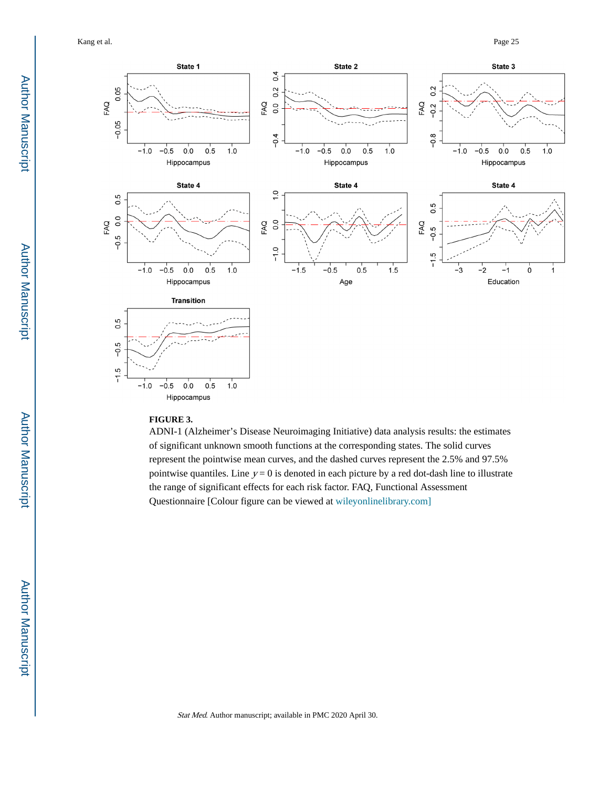Kang et al. Page 25



#### **FIGURE 3.**

ADNI-1 (Alzheimer's Disease Neuroimaging Initiative) data analysis results: the estimates of significant unknown smooth functions at the corresponding states. The solid curves represent the pointwise mean curves, and the dashed curves represent the 2.5% and 97.5% pointwise quantiles. Line  $y = 0$  is denoted in each picture by a red dot-dash line to illustrate the range of significant effects for each risk factor. FAQ, Functional Assessment Questionnaire [Colour figure can be viewed at [wileyonlinelibrary.com\]](http://wileyonlinelibrary.com/)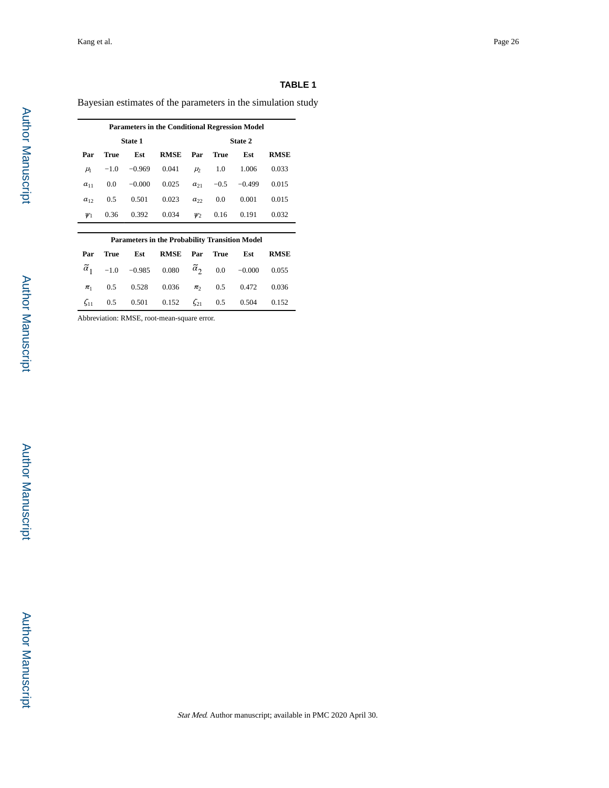### **TABLE 1**

#### Bayesian estimates of the parameters in the simulation study

|                           | <b>Parameters in the Conditional Regression Model</b> |          |             |          |        |          |             |  |  |  |  |
|---------------------------|-------------------------------------------------------|----------|-------------|----------|--------|----------|-------------|--|--|--|--|
| <b>State 1</b><br>State 2 |                                                       |          |             |          |        |          |             |  |  |  |  |
| Par                       | True                                                  | Est      | <b>RMSE</b> | Par      | True   | Est      | <b>RMSE</b> |  |  |  |  |
| $\mu_1$                   | $-1.0$                                                | $-0.969$ | 0.041       | $\mu$    | 1.0    | 1.006    | 0.033       |  |  |  |  |
| $a_{11}$                  | 0.0                                                   | $-0.000$ | 0.025       | $a_{21}$ | $-0.5$ | $-0.499$ | 0.015       |  |  |  |  |
| $a_{12}$                  | 0.5                                                   | 0.501    | 0.023       | $a_{22}$ | 0.0    | 0.001    | 0.015       |  |  |  |  |
| $\psi_1$                  | 0.36                                                  | 0.392    | 0.034       | $\psi_2$ | 0.16   | 0.191    | 0.032       |  |  |  |  |

|              |      |       | <b>Parameters in the Probability Transition Model</b>                    |  |     |             |
|--------------|------|-------|--------------------------------------------------------------------------|--|-----|-------------|
| Par          | True | Est   | RMSE Par True                                                            |  | Est | <b>RMSE</b> |
|              |      |       | $\tilde{\alpha}_1$ -1.0 -0.985 0.080 $\tilde{\alpha}_2$ 0.0 -0.000 0.055 |  |     |             |
| $\pi_1$      | 0.5  | 0.528 | 0.036 $\pi_2$ 0.5 0.472                                                  |  |     | 0.036       |
| $\zeta_{11}$ |      |       | 0.5 0.501 0.152 $\zeta_{21}$ 0.5 0.504                                   |  |     | 0.152       |

Abbreviation: RMSE, root-mean-square error.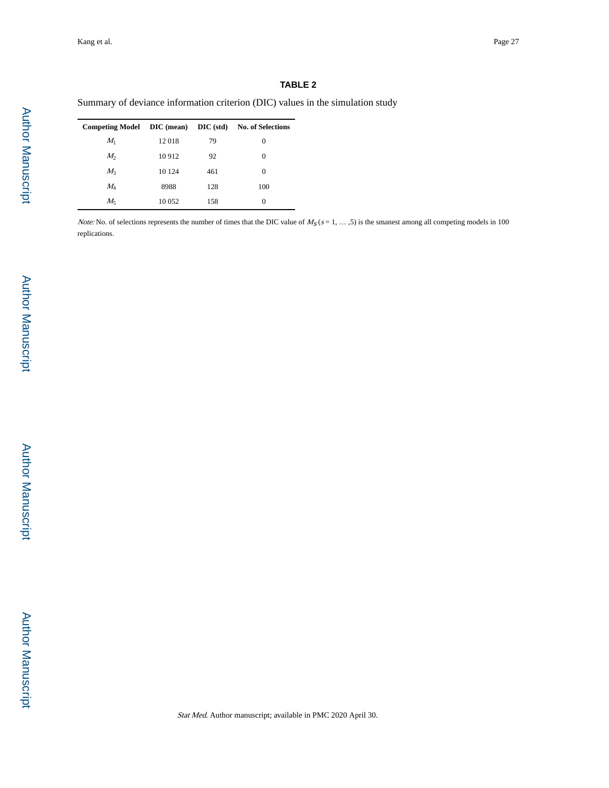#### **TABLE 2**

Summary of deviance information criterion (DIC) values in the simulation study

| Competing Model DIC (mean) DIC (std) |         |     | <b>No. of Selections</b> |
|--------------------------------------|---------|-----|--------------------------|
| $M_1$                                | 12018   | 79  | $\theta$                 |
| $M_{2}$                              | 10912   | 92  | $\Omega$                 |
| $M_{\rm R}$                          | 10 124  | 461 | $\Omega$                 |
| $M_{\scriptscriptstyle\! \Delta}$    | 8988    | 128 | 100                      |
| $M_5$                                | 10 0 52 | 158 | 0                        |

*Note:* No. of selections represents the number of times that the DIC value of  $M_S$  ( $s = 1, \ldots, 5$ ) is the smanest among all competing models in 100 replications.

Author Manuscript

Author Manuscript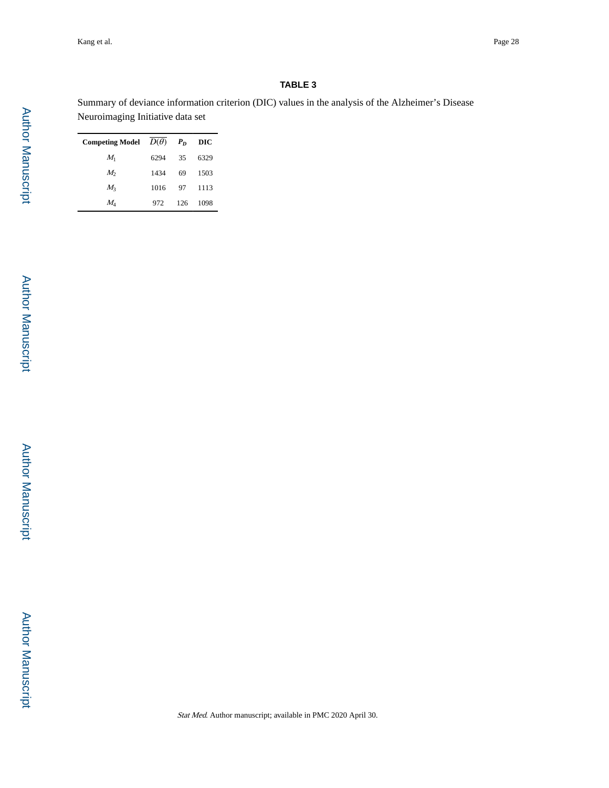L,

#### **TABLE 3**

Summary of deviance information criterion (DIC) values in the analysis of the Alzheimer's Disease Neuroimaging Initiative data set

| Competing Model $D(\theta)$ $P_D$ |      |     | DIC  |
|-----------------------------------|------|-----|------|
| $M_1$                             | 6294 | 35  | 6329 |
| $M_{2}$                           | 1434 | 69  | 1503 |
| $M_{\rm R}$                       | 1016 | 97  | 1113 |
| $M_{\scriptscriptstyle\! A}$      | 972  | 126 | 1098 |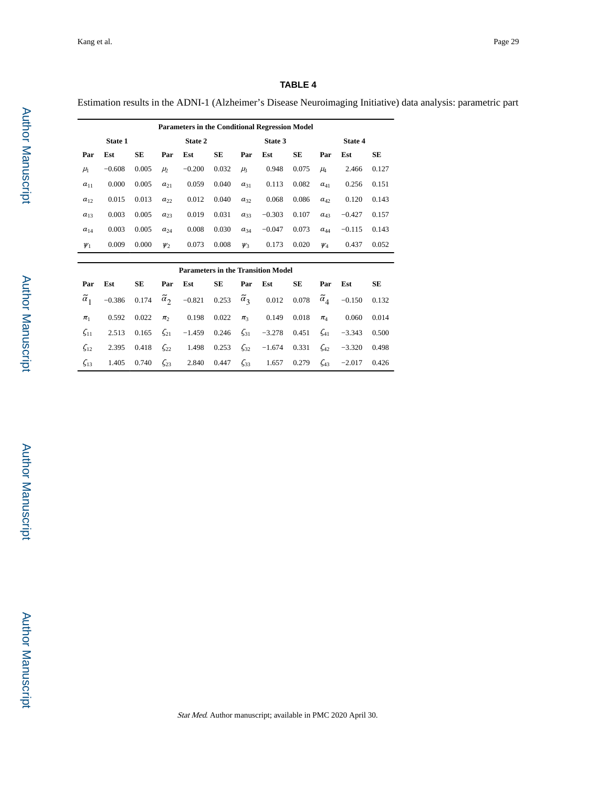#### **TABLE 4**

Estimation results in the ADNI-1 (Alzheimer's Disease Neuroimaging Initiative) data analysis: parametric part

|          | <b>Parameters in the Conditional Regression Model</b> |           |          |          |       |          |          |       |           |          |       |  |  |
|----------|-------------------------------------------------------|-----------|----------|----------|-------|----------|----------|-------|-----------|----------|-------|--|--|
|          | State 1                                               |           |          | State 2  |       |          | State 3  |       |           | State 4  |       |  |  |
| Par      | Est                                                   | <b>SE</b> | Par      | Est      | SЕ    | Par      | Est      | SЕ    | Par       | Est      | SЕ    |  |  |
| $\mu_1$  | $-0.608$                                              | 0.005     | $\mu$    | $-0.200$ | 0.032 | $\mu$    | 0.948    | 0.075 | $\mu_{4}$ | 2.466    | 0.127 |  |  |
| $a_{11}$ | 0.000                                                 | 0.005     | $a_{21}$ | 0.059    | 0.040 | $a_{31}$ | 0.113    | 0.082 | $a_{41}$  | 0.256    | 0.151 |  |  |
| $a_{12}$ | 0.015                                                 | 0.013     | $a_{22}$ | 0.012    | 0.040 | $a_{32}$ | 0.068    | 0.086 | $a_{42}$  | 0.120    | 0.143 |  |  |
| $a_{13}$ | 0.003                                                 | 0.005     | $a_{23}$ | 0.019    | 0.031 | $a_{33}$ | $-0.303$ | 0.107 | $a_{43}$  | $-0.427$ | 0.157 |  |  |
| $a_{14}$ | 0.003                                                 | 0.005     | $a_{24}$ | 0.008    | 0.030 | $a_{34}$ | $-0.047$ | 0.073 | $a_{44}$  | $-0.115$ | 0.143 |  |  |
| $\psi_1$ | 0.009                                                 | 0.000     | $\psi_2$ | 0.073    | 0.008 | $\psi_3$ | 0.173    | 0.020 | $\Psi_4$  | 0.437    | 0.052 |  |  |

|              |                |                          |                                                           |    |         | <b>Parameters in the Transition Model</b> |    |                                                                                           |      |
|--------------|----------------|--------------------------|-----------------------------------------------------------|----|---------|-------------------------------------------|----|-------------------------------------------------------------------------------------------|------|
|              | Par Est        | SE                       | Par Est                                                   | SE | Par Est |                                           | SE | Par Est                                                                                   | - SE |
| $\alpha_1$   | $-0.386$ 0.174 |                          | $\alpha_2$ -0.821 0.253 $\alpha_3$ 0.012 0.078 $\alpha_4$ |    |         |                                           |    | $-0.150$ 0.132                                                                            |      |
| $\pi_1$      |                | $0.592$ $0.022$          | $\pi_2$ 0.198 0.022 $\pi_3$ 0.149 0.018 $\pi_4$           |    |         |                                           |    | 0.060 0.014                                                                               |      |
| $\zeta_{11}$ |                |                          |                                                           |    |         |                                           |    | 2.513 0.165 $\zeta_{21}$ -1.459 0.246 $\zeta_{31}$ -3.278 0.451 $\zeta_{41}$ -3.343 0.500 |      |
| $\zeta_{12}$ |                | 2.395 0.418              |                                                           |    |         |                                           |    | $\zeta_{22}$ 1.498 0.253 $\zeta_{32}$ -1.674 0.331 $\zeta_{42}$ -3.320 0.498              |      |
| $\zeta_{13}$ |                | 1.405 0.740 $\zeta_{23}$ |                                                           |    |         |                                           |    | 2.840 0.447 $\zeta_{33}$ 1.657 0.279 $\zeta_{43}$ -2.017 0.426                            |      |